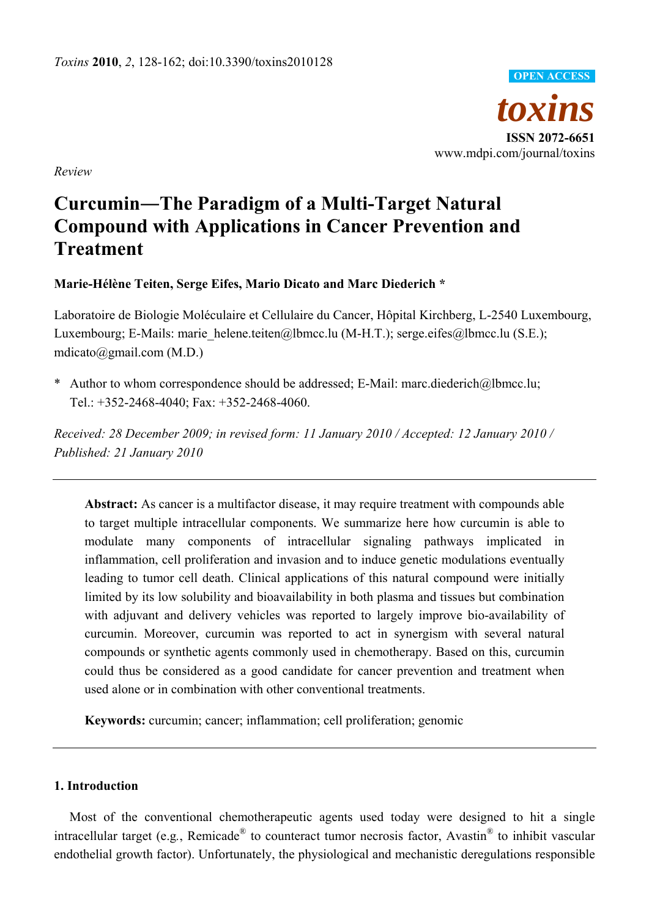

*Review* 

# **Curcumin―The Paradigm of a Multi-Target Natural Compound with Applications in Cancer Prevention and Treatment**

**Marie-Hélène Teiten, Serge Eifes, Mario Dicato and Marc Diederich \*** 

Laboratoire de Biologie Moléculaire et Cellulaire du Cancer, Hôpital Kirchberg, L-2540 Luxembourg, Luxembourg; E-Mails: marie\_helene.teiten@lbmcc.lu (M-H.T.); serge.eifes@lbmcc.lu (S.E.); mdicato@gmail.com (M.D.)

\* Author to whom correspondence should be addressed; E-Mail: marc.diederich@lbmcc.lu; Tel.: +352-2468-4040; Fax: +352-2468-4060.

*Received: 28 December 2009; in revised form: 11 January 2010 / Accepted: 12 January 2010 / Published: 21 January 2010* 

**Abstract:** As cancer is a multifactor disease, it may require treatment with compounds able to target multiple intracellular components. We summarize here how curcumin is able to modulate many components of intracellular signaling pathways implicated in inflammation, cell proliferation and invasion and to induce genetic modulations eventually leading to tumor cell death. Clinical applications of this natural compound were initially limited by its low solubility and bioavailability in both plasma and tissues but combination with adjuvant and delivery vehicles was reported to largely improve bio-availability of curcumin. Moreover, curcumin was reported to act in synergism with several natural compounds or synthetic agents commonly used in chemotherapy. Based on this, curcumin could thus be considered as a good candidate for cancer prevention and treatment when used alone or in combination with other conventional treatments.

**Keywords:** curcumin; cancer; inflammation; cell proliferation; genomic

# **1. Introduction**

Most of the conventional chemotherapeutic agents used today were designed to hit a single intracellular target (e.g*.*, Remicade® to counteract tumor necrosis factor, Avastin® to inhibit vascular endothelial growth factor). Unfortunately, the physiological and mechanistic deregulations responsible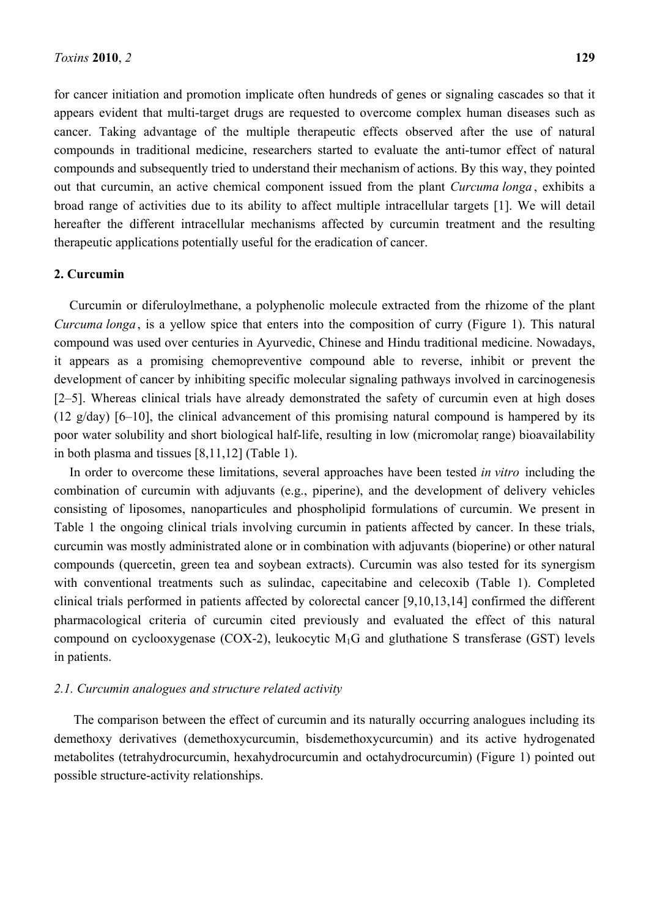for cancer initiation and promotion implicate often hundreds of genes or signaling cascades so that it appears evident that multi-target drugs are requested to overcome complex human diseases such as cancer. Taking advantage of the multiple therapeutic effects observed after the use of natural compounds in traditional medicine, researchers started to evaluate the anti-tumor effect of natural compounds and subsequently tried to understand their mechanism of actions. By this way, they pointed out that curcumin, an active chemical component issued from the plant *Curcuma longa* , exhibits a broad range of activities due to its ability to affect multiple intracellular targets [1]. We will detail hereafter the different intracellular mechanisms affected by curcumin treatment and the resulting therapeutic applications potentially useful for the eradication of cancer.

# **2. Curcumin**

Curcumin or diferuloylmethane, a polyphenolic molecule extracted from the rhizome of the plant *Curcuma longa* , is a yellow spice that enters into the composition of curry (Figure 1). This natural compound was used over centuries in Ayurvedic, Chinese and Hindu traditional medicine. Nowadays, it appears as a promising chemopreventive compound able to reverse, inhibit or prevent the development of cancer by inhibiting specific molecular signaling pathways involved in carcinogenesis [2–5]. Whereas clinical trials have already demonstrated the safety of curcumin even at high doses (12 g/day) [6–10], the clinical advancement of this promising natural compound is hampered by its poor water solubility and short biological half-life, resulting in low (micromolar range) bioavailability in both plasma and tissues [8,11,12] (Table 1).

In order to overcome these limitations, several approaches have been tested *in vitro* including the combination of curcumin with adjuvants (e.g., piperine), and the development of delivery vehicles consisting of liposomes, nanoparticules and phospholipid formulations of curcumin. We present in Table 1 the ongoing clinical trials involving curcumin in patients affected by cancer. In these trials, curcumin was mostly administrated alone or in combination with adjuvants (bioperine) or other natural compounds (quercetin, green tea and soybean extracts). Curcumin was also tested for its synergism with conventional treatments such as sulindac, capecitabine and celecoxib (Table 1). Completed clinical trials performed in patients affected by colorectal cancer [9,10,13,14] confirmed the different pharmacological criteria of curcumin cited previously and evaluated the effect of this natural compound on cyclooxygenase (COX-2), leukocytic  $M_1G$  and gluthatione S transferase (GST) levels in patients.

# *2.1. Curcumin analogues and structure related activity*

The comparison between the effect of curcumin and its naturally occurring analogues including its demethoxy derivatives (demethoxycurcumin, bisdemethoxycurcumin) and its active hydrogenated metabolites (tetrahydrocurcumin, hexahydrocurcumin and octahydrocurcumin) (Figure 1) pointed out possible structure-activity relationships.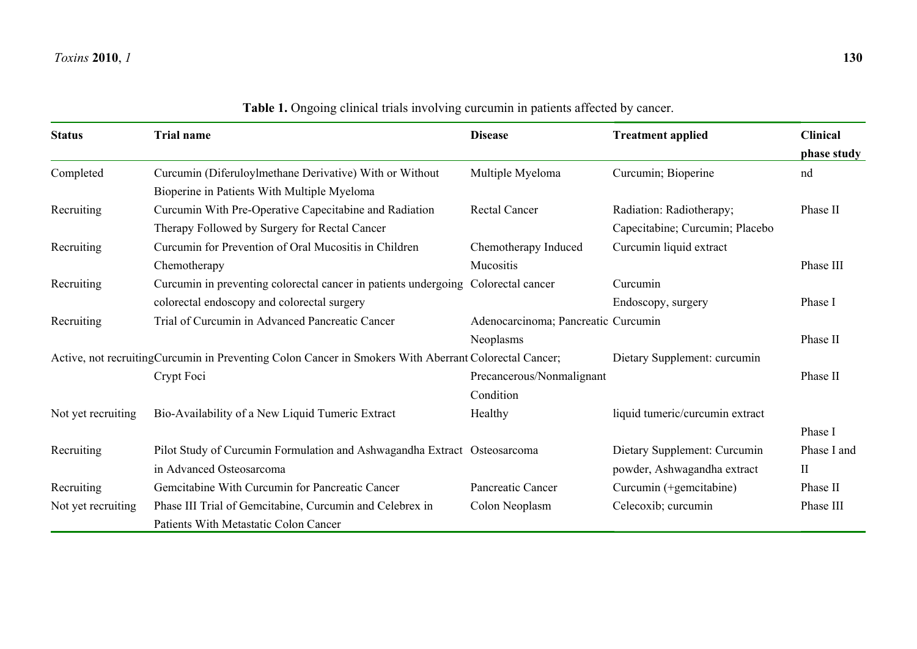| <b>Status</b>                                                                                          | <b>Trial name</b>                                                        | <b>Disease</b>                      | <b>Treatment applied</b>        | <b>Clinical</b> |
|--------------------------------------------------------------------------------------------------------|--------------------------------------------------------------------------|-------------------------------------|---------------------------------|-----------------|
|                                                                                                        |                                                                          |                                     |                                 | phase study     |
| Completed                                                                                              | Curcumin (Diferuloylmethane Derivative) With or Without                  | Multiple Myeloma                    | Curcumin; Bioperine             | nd              |
|                                                                                                        | Bioperine in Patients With Multiple Myeloma                              |                                     |                                 |                 |
| Recruiting                                                                                             | Curcumin With Pre-Operative Capecitabine and Radiation                   | <b>Rectal Cancer</b>                | Radiation: Radiotherapy;        | Phase II        |
|                                                                                                        | Therapy Followed by Surgery for Rectal Cancer                            |                                     | Capecitabine; Curcumin; Placebo |                 |
| Recruiting                                                                                             | Curcumin for Prevention of Oral Mucositis in Children                    | Chemotherapy Induced                | Curcumin liquid extract         |                 |
|                                                                                                        | Chemotherapy                                                             | Mucositis                           |                                 | Phase III       |
| Recruiting                                                                                             | Curcumin in preventing colorectal cancer in patients undergoing          | Colorectal cancer                   | Curcumin                        |                 |
|                                                                                                        | colorectal endoscopy and colorectal surgery                              |                                     | Endoscopy, surgery              | Phase I         |
| Recruiting                                                                                             | Trial of Curcumin in Advanced Pancreatic Cancer                          | Adenocarcinoma; Pancreatic Curcumin |                                 |                 |
|                                                                                                        |                                                                          | Neoplasms                           |                                 | Phase II        |
| Active, not recruiting Curcumin in Preventing Colon Cancer in Smokers With Aberrant Colorectal Cancer; |                                                                          |                                     | Dietary Supplement: curcumin    |                 |
|                                                                                                        | Crypt Foci                                                               | Precancerous/Nonmalignant           |                                 | Phase II        |
|                                                                                                        |                                                                          | Condition                           |                                 |                 |
| Not yet recruiting                                                                                     | Bio-Availability of a New Liquid Tumeric Extract                         | Healthy                             | liquid tumeric/curcumin extract |                 |
|                                                                                                        |                                                                          |                                     |                                 | Phase I         |
| Recruiting                                                                                             | Pilot Study of Curcumin Formulation and Ashwagandha Extract Osteosarcoma |                                     | Dietary Supplement: Curcumin    | Phase I and     |
|                                                                                                        | in Advanced Osteosarcoma                                                 |                                     | powder, Ashwagandha extract     | $\mathbf{I}$    |
| Recruiting                                                                                             | Gemcitabine With Curcumin for Pancreatic Cancer                          | Pancreatic Cancer                   | Curcumin (+gemcitabine)         | Phase II        |
| Not yet recruiting                                                                                     | Phase III Trial of Gemcitabine, Curcumin and Celebrex in                 | Colon Neoplasm                      | Celecoxib; curcumin             | Phase III       |
|                                                                                                        | <b>Patients With Metastatic Colon Cancer</b>                             |                                     |                                 |                 |

**Table 1.** Ongoing clinical trials involving curcumin in patients affected by cancer.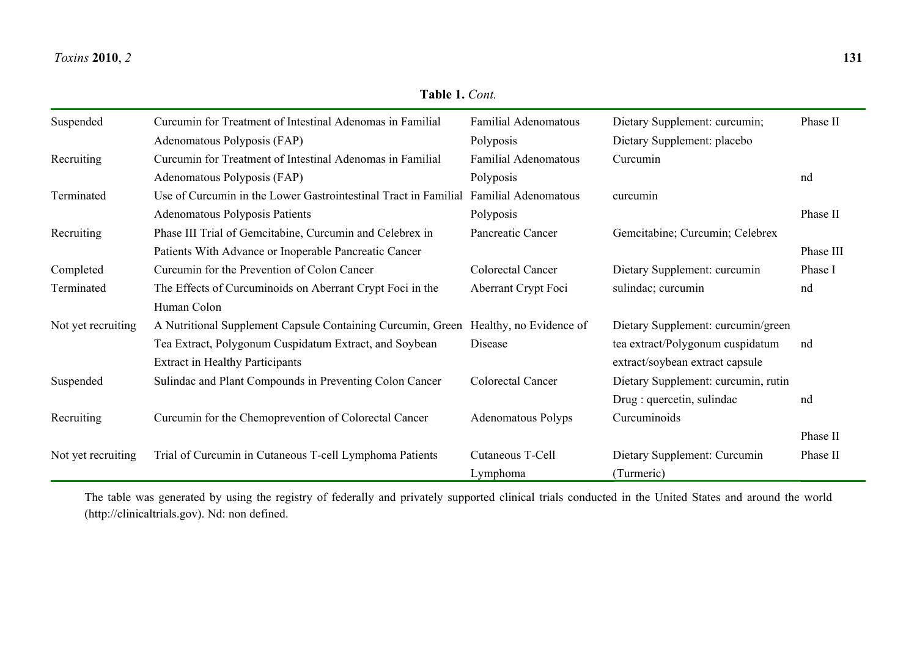#### *Toxins***2010**, *2* **131**

| Suspended          | Curcumin for Treatment of Intestinal Adenomas in Familial                           | <b>Familial Adenomatous</b> | Dietary Supplement: curcumin;       | Phase II  |
|--------------------|-------------------------------------------------------------------------------------|-----------------------------|-------------------------------------|-----------|
|                    | Adenomatous Polyposis (FAP)                                                         | Polyposis                   | Dietary Supplement: placebo         |           |
| Recruiting         | Curcumin for Treatment of Intestinal Adenomas in Familial                           | <b>Familial Adenomatous</b> | Curcumin                            |           |
|                    | Adenomatous Polyposis (FAP)                                                         | Polyposis                   |                                     | nd        |
| Terminated         | Use of Curcumin in the Lower Gastrointestinal Tract in Familial                     | <b>Familial Adenomatous</b> | curcumin                            |           |
|                    | Adenomatous Polyposis Patients                                                      | Polyposis                   |                                     | Phase II  |
| Recruiting         | Phase III Trial of Gemcitabine, Curcumin and Celebrex in                            | Pancreatic Cancer           | Gemcitabine; Curcumin; Celebrex     |           |
|                    | Patients With Advance or Inoperable Pancreatic Cancer                               |                             |                                     | Phase III |
| Completed          | Curcumin for the Prevention of Colon Cancer                                         | Colorectal Cancer           | Dietary Supplement: curcumin        | Phase I   |
| Terminated         | The Effects of Curcuminoids on Aberrant Crypt Foci in the                           | Aberrant Crypt Foci         | sulindac; curcumin                  | nd        |
|                    | Human Colon                                                                         |                             |                                     |           |
| Not yet recruiting | A Nutritional Supplement Capsule Containing Curcumin, Green Healthy, no Evidence of |                             | Dietary Supplement: curcumin/green  |           |
|                    | Tea Extract, Polygonum Cuspidatum Extract, and Soybean                              | Disease                     | tea extract/Polygonum cuspidatum    | nd        |
|                    | <b>Extract in Healthy Participants</b>                                              |                             | extract/soybean extract capsule     |           |
| Suspended          | Sulindac and Plant Compounds in Preventing Colon Cancer                             | Colorectal Cancer           | Dietary Supplement: curcumin, rutin |           |
|                    |                                                                                     |                             | Drug : quercetin, sulindac          | nd        |
| Recruiting         | Curcumin for the Chemoprevention of Colorectal Cancer                               | <b>Adenomatous Polyps</b>   | Curcuminoids                        |           |
|                    |                                                                                     |                             |                                     | Phase II  |
| Not yet recruiting | Trial of Curcumin in Cutaneous T-cell Lymphoma Patients                             | Cutaneous T-Cell            | Dietary Supplement: Curcumin        | Phase II  |
|                    |                                                                                     | Lymphoma                    | (Turmeric)                          |           |

The table was generated by using the registry of federally and privately supported clinical trials conducted in the United States and around the world (http://clinicaltrials.gov). Nd: non defined.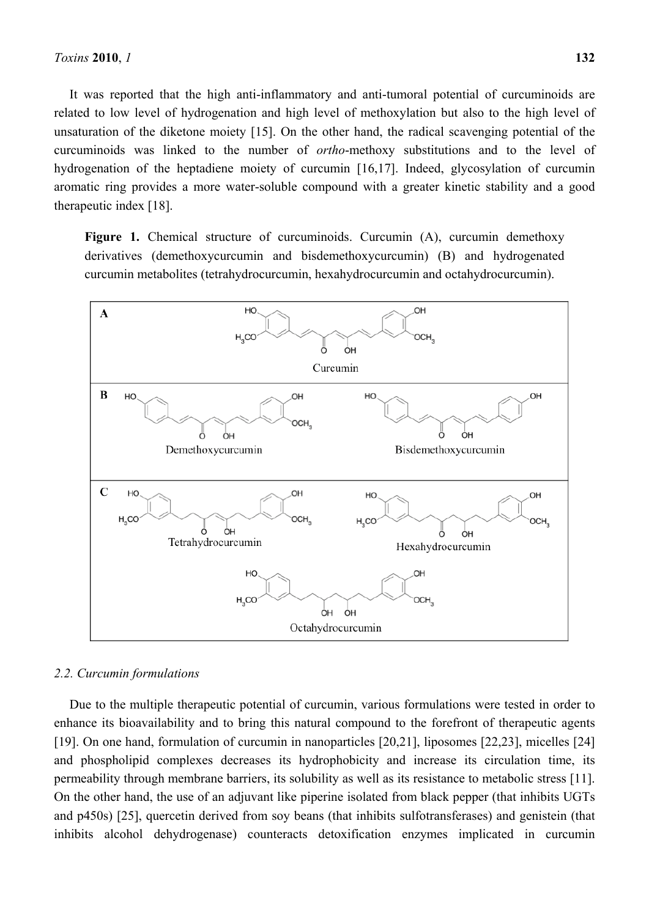It was reported that the high anti-inflammatory and anti-tumoral potential of curcuminoids are related to low level of hydrogenation and high level of methoxylation but also to the high level of unsaturation of the diketone moiety [15]. On the other hand, the radical scavenging potential of the curcuminoids was linked to the number of *ortho*-methoxy substitutions and to the level of hydrogenation of the heptadiene moiety of curcumin [16,17]. Indeed, glycosylation of curcumin aromatic ring provides a more water-soluble compound with a greater kinetic stability and a good therapeutic index [18].

**Figure 1.** Chemical structure of curcuminoids. Curcumin (A), curcumin demethoxy derivatives (demethoxycurcumin and bisdemethoxycurcumin) (B) and hydrogenated curcumin metabolites (tetrahydrocurcumin, hexahydrocurcumin and octahydrocurcumin).



#### *2.2. Curcumin formulations*

Due to the multiple therapeutic potential of curcumin, various formulations were tested in order to enhance its bioavailability and to bring this natural compound to the forefront of therapeutic agents [19]. On one hand, formulation of curcumin in nanoparticles [20,21], liposomes [22,23], micelles [24] and phospholipid complexes decreases its hydrophobicity and increase its circulation time, its permeability through membrane barriers, its solubility as well as its resistance to metabolic stress [11]. On the other hand, the use of an adjuvant like piperine isolated from black pepper (that inhibits UGTs and p450s) [25], quercetin derived from soy beans (that inhibits sulfotransferases) and genistein (that inhibits alcohol dehydrogenase) counteracts detoxification enzymes implicated in curcumin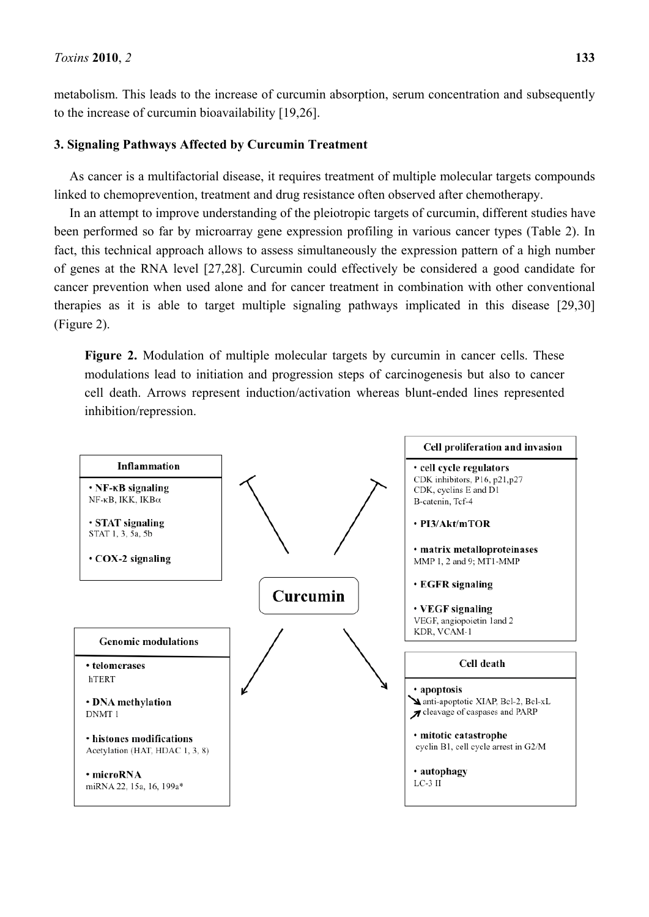metabolism. This leads to the increase of curcumin absorption, serum concentration and subsequently to the increase of curcumin bioavailability [19,26].

### **3. Signaling Pathways Affected by Curcumin Treatment**

As cancer is a multifactorial disease, it requires treatment of multiple molecular targets compounds linked to chemoprevention, treatment and drug resistance often observed after chemotherapy.

In an attempt to improve understanding of the pleiotropic targets of curcumin, different studies have been performed so far by microarray gene expression profiling in various cancer types (Table 2). In fact, this technical approach allows to assess simultaneously the expression pattern of a high number of genes at the RNA level [27,28]. Curcumin could effectively be considered a good candidate for cancer prevention when used alone and for cancer treatment in combination with other conventional therapies as it is able to target multiple signaling pathways implicated in this disease [29,30] (Figure 2).

Figure 2. Modulation of multiple molecular targets by curcumin in cancer cells. These modulations lead to initiation and progression steps of carcinogenesis but also to cancer cell death. Arrows represent induction/activation whereas blunt-ended lines represented inhibition/repression.

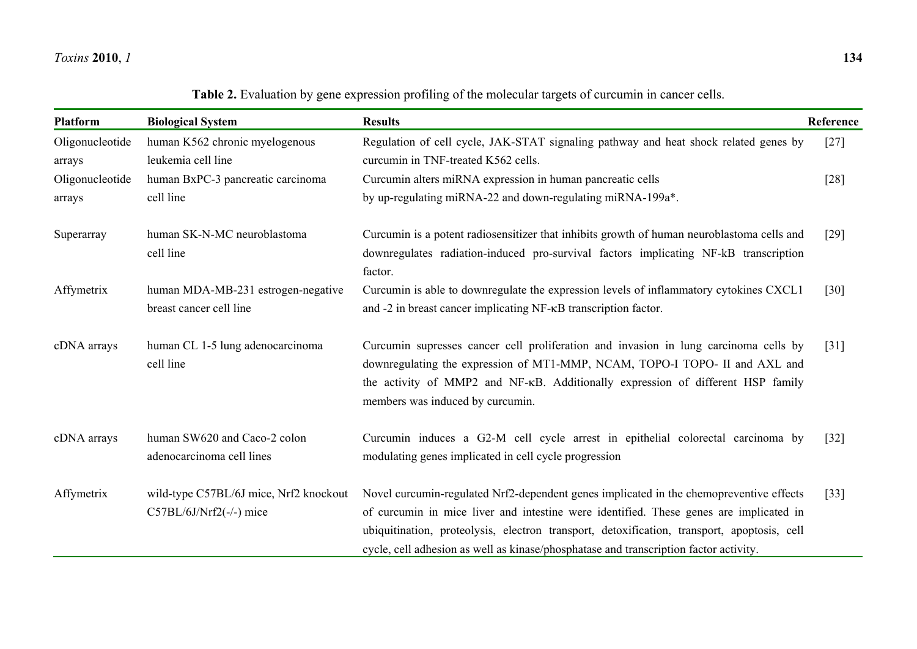#### *Toxins***2010**, *1* **134**

|  |  | Table 2. Evaluation by gene expression profiling of the molecular targets of curcumin in cancer cells. |
|--|--|--------------------------------------------------------------------------------------------------------|
|  |  |                                                                                                        |

| Platform                  | <b>Biological System</b>                                            | <b>Results</b>                                                                                                                                                                                                                                                                                                                                                            | Reference |
|---------------------------|---------------------------------------------------------------------|---------------------------------------------------------------------------------------------------------------------------------------------------------------------------------------------------------------------------------------------------------------------------------------------------------------------------------------------------------------------------|-----------|
| Oligonucleotide<br>arrays | human K562 chronic myelogenous<br>leukemia cell line                | Regulation of cell cycle, JAK-STAT signaling pathway and heat shock related genes by<br>curcumin in TNF-treated K562 cells.                                                                                                                                                                                                                                               | $[27]$    |
| Oligonucleotide<br>arrays | human BxPC-3 pancreatic carcinoma<br>cell line                      | Curcumin alters miRNA expression in human pancreatic cells<br>by up-regulating miRNA-22 and down-regulating miRNA-199a*.                                                                                                                                                                                                                                                  | $[28]$    |
| Superarray                | human SK-N-MC neuroblastoma<br>cell line                            | Curcumin is a potent radiosensitizer that inhibits growth of human neuroblastoma cells and<br>downregulates radiation-induced pro-survival factors implicating NF-kB transcription<br>factor.                                                                                                                                                                             | $[29]$    |
| Affymetrix                | human MDA-MB-231 estrogen-negative<br>breast cancer cell line       | Curcumin is able to downregulate the expression levels of inflammatory cytokines CXCL1<br>and -2 in breast cancer implicating NF- $\kappa$ B transcription factor.                                                                                                                                                                                                        | $[30]$    |
| cDNA arrays               | human CL 1-5 lung adenocarcinoma<br>cell line                       | Curcumin supresses cancer cell proliferation and invasion in lung carcinoma cells by<br>downregulating the expression of MT1-MMP, NCAM, TOPO-I TOPO- II and AXL and<br>the activity of MMP2 and NF-KB. Additionally expression of different HSP family<br>members was induced by curcumin.                                                                                | $[31]$    |
| cDNA arrays               | human SW620 and Caco-2 colon<br>adenocarcinoma cell lines           | Curcumin induces a G2-M cell cycle arrest in epithelial colorectal carcinoma by<br>modulating genes implicated in cell cycle progression                                                                                                                                                                                                                                  | $[32]$    |
| Affymetrix                | wild-type C57BL/6J mice, Nrf2 knockout<br>$C57BL/6J/Nrf2(-/-)$ mice | Novel curcumin-regulated Nrf2-dependent genes implicated in the chemopreventive effects<br>of curcumin in mice liver and intestine were identified. These genes are implicated in<br>ubiquitination, proteolysis, electron transport, detoxification, transport, apoptosis, cell<br>cycle, cell adhesion as well as kinase/phosphatase and transcription factor activity. | $[33]$    |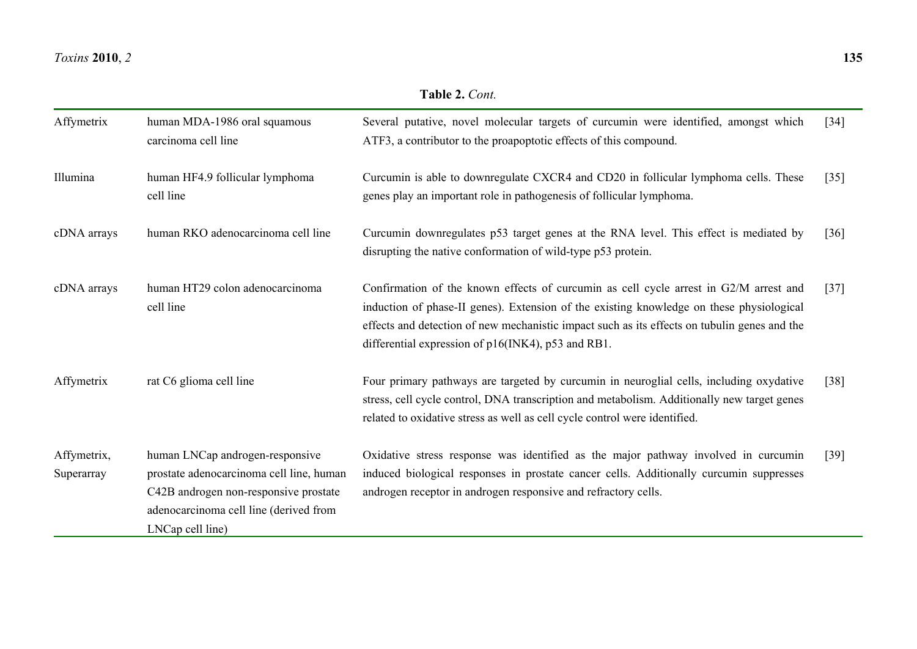#### *Toxins***2010**, *2* **135**

| Affymetrix                | human MDA-1986 oral squamous<br>carcinoma cell line                                                                                                                                | Several putative, novel molecular targets of curcumin were identified, amongst which<br>ATF3, a contributor to the proapoptotic effects of this compound.                                                                                                                                                                               | $[34]$ |
|---------------------------|------------------------------------------------------------------------------------------------------------------------------------------------------------------------------------|-----------------------------------------------------------------------------------------------------------------------------------------------------------------------------------------------------------------------------------------------------------------------------------------------------------------------------------------|--------|
| Illumina                  | human HF4.9 follicular lymphoma<br>cell line                                                                                                                                       | Curcumin is able to downregulate CXCR4 and CD20 in follicular lymphoma cells. These<br>genes play an important role in pathogenesis of follicular lymphoma.                                                                                                                                                                             | $[35]$ |
| cDNA arrays               | human RKO adenocarcinoma cell line                                                                                                                                                 | Curcumin downregulates p53 target genes at the RNA level. This effect is mediated by<br>disrupting the native conformation of wild-type p53 protein.                                                                                                                                                                                    | $[36]$ |
| cDNA arrays               | human HT29 colon adenocarcinoma<br>cell line                                                                                                                                       | Confirmation of the known effects of curcumin as cell cycle arrest in G2/M arrest and<br>induction of phase-II genes). Extension of the existing knowledge on these physiological<br>effects and detection of new mechanistic impact such as its effects on tubulin genes and the<br>differential expression of p16(INK4), p53 and RB1. | $[37]$ |
| Affymetrix                | rat C6 glioma cell line                                                                                                                                                            | Four primary pathways are targeted by curcumin in neuroglial cells, including oxydative<br>stress, cell cycle control, DNA transcription and metabolism. Additionally new target genes<br>related to oxidative stress as well as cell cycle control were identified.                                                                    | $[38]$ |
| Affymetrix,<br>Superarray | human LNCap androgen-responsive<br>prostate adenocarcinoma cell line, human<br>C42B androgen non-responsive prostate<br>adenocarcinoma cell line (derived from<br>LNCap cell line) | Oxidative stress response was identified as the major pathway involved in curcumin<br>induced biological responses in prostate cancer cells. Additionally curcumin suppresses<br>androgen receptor in androgen responsive and refractory cells.                                                                                         | $[39]$ |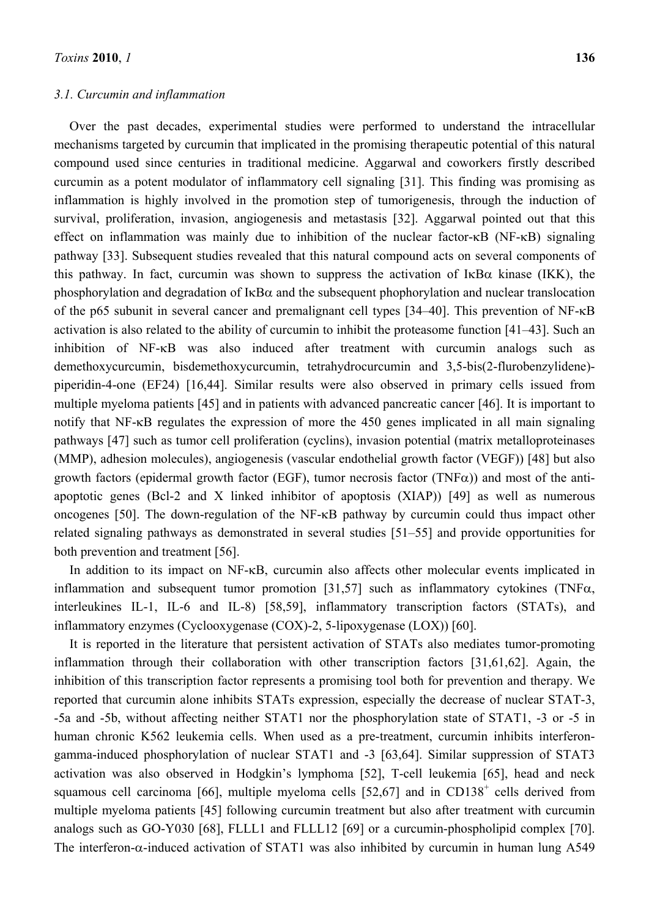#### *3.1. Curcumin and inflammation*

Over the past decades, experimental studies were performed to understand the intracellular mechanisms targeted by curcumin that implicated in the promising therapeutic potential of this natural compound used since centuries in traditional medicine. Aggarwal and coworkers firstly described curcumin as a potent modulator of inflammatory cell signaling [31]. This finding was promising as inflammation is highly involved in the promotion step of tumorigenesis, through the induction of survival, proliferation, invasion, angiogenesis and metastasis [32]. Aggarwal pointed out that this effect on inflammation was mainly due to inhibition of the nuclear factor-κB (NF-κB) signaling pathway [33]. Subsequent studies revealed that this natural compound acts on several components of this pathway. In fact, curcumin was shown to suppress the activation of  $I_{\kappa}B_{\alpha}$  kinase (IKK), the phosphorylation and degradation of  $I \kappa B\alpha$  and the subsequent phophorylation and nuclear translocation of the p65 subunit in several cancer and premalignant cell types [34–40]. This prevention of NF-κB activation is also related to the ability of curcumin to inhibit the proteasome function [41–43]. Such an inhibition of NF-κB was also induced after treatment with curcumin analogs such as demethoxycurcumin, bisdemethoxycurcumin, tetrahydrocurcumin and 3,5-bis(2-flurobenzylidene) piperidin-4-one (EF24) [16,44]. Similar results were also observed in primary cells issued from multiple myeloma patients [45] and in patients with advanced pancreatic cancer [46]. It is important to notify that NF-κB regulates the expression of more the 450 genes implicated in all main signaling pathways [47] such as tumor cell proliferation (cyclins), invasion potential (matrix metalloproteinases (MMP), adhesion molecules), angiogenesis (vascular endothelial growth factor (VEGF)) [48] but also growth factors (epidermal growth factor (EGF), tumor necrosis factor (TNF $\alpha$ )) and most of the antiapoptotic genes (Bcl-2 and X linked inhibitor of apoptosis (XIAP)) [49] as well as numerous oncogenes [50]. The down-regulation of the NF-κB pathway by curcumin could thus impact other related signaling pathways as demonstrated in several studies [51–55] and provide opportunities for both prevention and treatment [56].

In addition to its impact on NF-κB, curcumin also affects other molecular events implicated in inflammation and subsequent tumor promotion  $[31,57]$  such as inflammatory cytokines (TNF $\alpha$ , interleukines IL-1, IL-6 and IL-8) [58,59], inflammatory transcription factors (STATs), and inflammatory enzymes (Cyclooxygenase (COX)-2, 5-lipoxygenase (LOX)) [60].

It is reported in the literature that persistent activation of STATs also mediates tumor-promoting inflammation through their collaboration with other transcription factors [31,61,62]. Again, the inhibition of this transcription factor represents a promising tool both for prevention and therapy. We reported that curcumin alone inhibits STATs expression, especially the decrease of nuclear STAT-3, -5a and -5b, without affecting neither STAT1 nor the phosphorylation state of STAT1, -3 or -5 in human chronic K562 leukemia cells. When used as a pre-treatment, curcumin inhibits interferongamma-induced phosphorylation of nuclear STAT1 and -3 [63,64]. Similar suppression of STAT3 activation was also observed in Hodgkin's lymphoma [52], T-cell leukemia [65], head and neck squamous cell carcinoma [66], multiple myeloma cells  $[52,67]$  and in CD138<sup>+</sup> cells derived from multiple myeloma patients [45] following curcumin treatment but also after treatment with curcumin analogs such as GO-Y030 [68], FLLL1 and FLLL12 [69] or a curcumin-phospholipid complex [70]. The interferon- $\alpha$ -induced activation of STAT1 was also inhibited by curcumin in human lung A549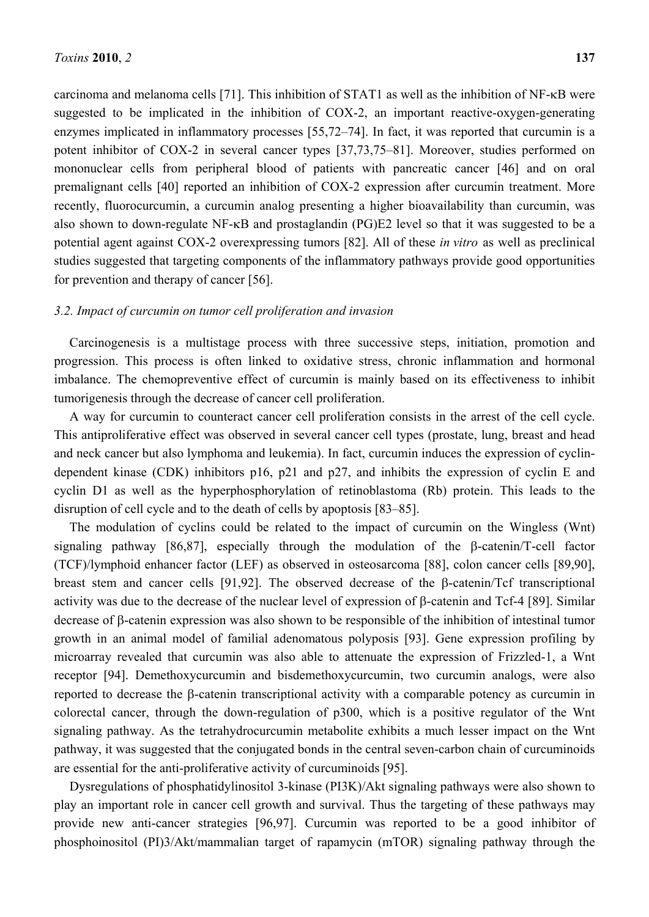carcinoma and melanoma cells [71]. This inhibition of STAT1 as well as the inhibition of NF-κB were suggested to be implicated in the inhibition of COX-2, an important reactive-oxygen-generating enzymes implicated in inflammatory processes [55,72–74]. In fact, it was reported that curcumin is a potent inhibitor of COX-2 in several cancer types [37,73,75–81]. Moreover, studies performed on mononuclear cells from peripheral blood of patients with pancreatic cancer [46] and on oral premalignant cells [40] reported an inhibition of COX-2 expression after curcumin treatment. More recently, fluorocurcumin, a curcumin analog presenting a higher bioavailability than curcumin, was also shown to down-regulate NF-κB and prostaglandin (PG)E2 level so that it was suggested to be a potential agent against COX-2 overexpressing tumors [82]. All of these *in vitro* as well as preclinical studies suggested that targeting components of the inflammatory pathways provide good opportunities for prevention and therapy of cancer [56].

#### *3.2. Impact of curcumin on tumor cell proliferation and invasion*

Carcinogenesis is a multistage process with three successive steps, initiation, promotion and progression. This process is often linked to oxidative stress, chronic inflammation and hormonal imbalance. The chemopreventive effect of curcumin is mainly based on its effectiveness to inhibit tumorigenesis through the decrease of cancer cell proliferation.

A way for curcumin to counteract cancer cell proliferation consists in the arrest of the cell cycle. This antiproliferative effect was observed in several cancer cell types (prostate, lung, breast and head and neck cancer but also lymphoma and leukemia). In fact, curcumin induces the expression of cyclindependent kinase (CDK) inhibitors p16, p21 and p27, and inhibits the expression of cyclin E and cyclin D1 as well as the hyperphosphorylation of retinoblastoma (Rb) protein. This leads to the disruption of cell cycle and to the death of cells by apoptosis [83–85].

The modulation of cyclins could be related to the impact of curcumin on the Wingless (Wnt) signaling pathway [86,87], especially through the modulation of the β-catenin/T-cell factor (TCF)/lymphoid enhancer factor (LEF) as observed in osteosarcoma [88], colon cancer cells [89,90], breast stem and cancer cells [91,92]. The observed decrease of the β-catenin/Tcf transcriptional activity was due to the decrease of the nuclear level of expression of β-catenin and Tcf-4 [89]. Similar decrease of β-catenin expression was also shown to be responsible of the inhibition of intestinal tumor growth in an animal model of familial adenomatous polyposis [93]. Gene expression profiling by microarray revealed that curcumin was also able to attenuate the expression of Frizzled-1, a Wnt receptor [94]. Demethoxycurcumin and bisdemethoxycurcumin, two curcumin analogs, were also reported to decrease the β-catenin transcriptional activity with a comparable potency as curcumin in colorectal cancer, through the down-regulation of p300, which is a positive regulator of the Wnt signaling pathway. As the tetrahydrocurcumin metabolite exhibits a much lesser impact on the Wnt pathway, it was suggested that the conjugated bonds in the central seven-carbon chain of curcuminoids are essential for the anti-proliferative activity of curcuminoids [95].

Dysregulations of phosphatidylinositol 3-kinase (PI3K)/Akt signaling pathways were also shown to play an important role in cancer cell growth and survival. Thus the targeting of these pathways may provide new anti-cancer strategies [96,97]. Curcumin was reported to be a good inhibitor of phosphoinositol (PI)3/Akt/mammalian target of rapamycin (mTOR) signaling pathway through the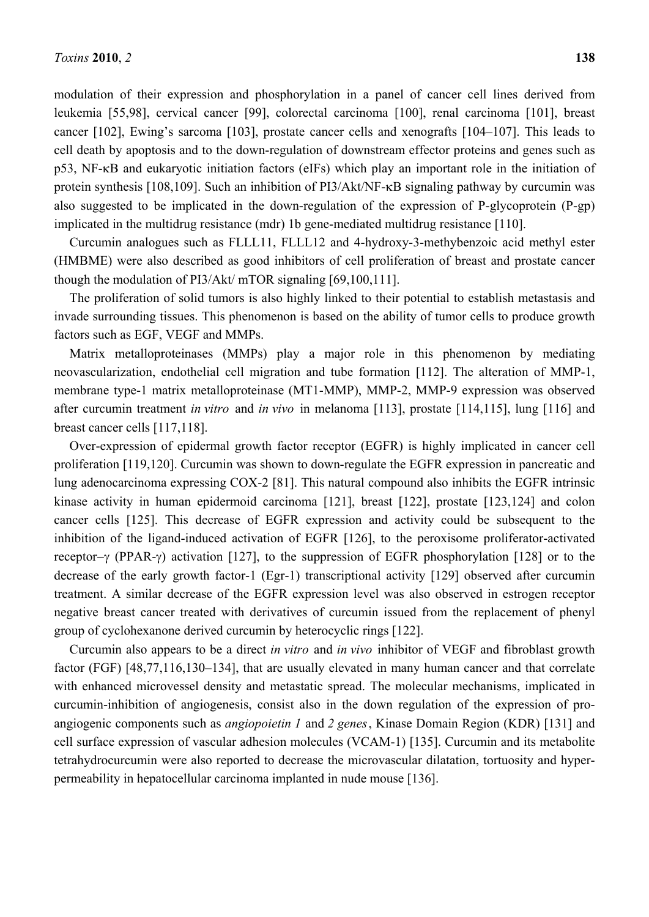modulation of their expression and phosphorylation in a panel of cancer cell lines derived from leukemia [55,98], cervical cancer [99], colorectal carcinoma [100], renal carcinoma [101], breast cancer [102], Ewing's sarcoma [103], prostate cancer cells and xenografts [104–107]. This leads to cell death by apoptosis and to the down-regulation of downstream effector proteins and genes such as p53, NF-κB and eukaryotic initiation factors (eIFs) which play an important role in the initiation of protein synthesis [108,109]. Such an inhibition of PI3/Akt/NF-κB signaling pathway by curcumin was also suggested to be implicated in the down-regulation of the expression of P-glycoprotein (P-gp) implicated in the multidrug resistance (mdr) 1b gene-mediated multidrug resistance [110].

Curcumin analogues such as FLLL11, FLLL12 and 4-hydroxy-3-methybenzoic acid methyl ester (HMBME) were also described as good inhibitors of cell proliferation of breast and prostate cancer though the modulation of PI3/Akt/ mTOR signaling [69,100,111].

The proliferation of solid tumors is also highly linked to their potential to establish metastasis and invade surrounding tissues. This phenomenon is based on the ability of tumor cells to produce growth factors such as EGF, VEGF and MMPs.

Matrix metalloproteinases (MMPs) play a major role in this phenomenon by mediating neovascularization, endothelial cell migration and tube formation [112]. The alteration of MMP-1, membrane type-1 matrix metalloproteinase (MT1-MMP), MMP-2, MMP-9 expression was observed after curcumin treatment *in vitro* and *in vivo* in melanoma [113], prostate [114,115], lung [116] and breast cancer cells [117,118].

Over-expression of epidermal growth factor receptor (EGFR) is highly implicated in cancer cell proliferation [119,120]. Curcumin was shown to down-regulate the EGFR expression in pancreatic and lung adenocarcinoma expressing COX-2 [81]. This natural compound also inhibits the EGFR intrinsic kinase activity in human epidermoid carcinoma [121], breast [122], prostate [123,124] and colon cancer cells [125]. This decrease of EGFR expression and activity could be subsequent to the inhibition of the ligand-induced activation of EGFR [126], to the peroxisome proliferator-activated receptor−γ (PPAR-γ) activation [127], to the suppression of EGFR phosphorylation [128] or to the decrease of the early growth factor-1 (Egr-1) transcriptional activity [129] observed after curcumin treatment. A similar decrease of the EGFR expression level was also observed in estrogen receptor negative breast cancer treated with derivatives of curcumin issued from the replacement of phenyl group of cyclohexanone derived curcumin by heterocyclic rings [122].

Curcumin also appears to be a direct *in vitro* and *in vivo* inhibitor of VEGF and fibroblast growth factor (FGF) [48,77,116,130–134], that are usually elevated in many human cancer and that correlate with enhanced microvessel density and metastatic spread. The molecular mechanisms, implicated in curcumin-inhibition of angiogenesis, consist also in the down regulation of the expression of proangiogenic components such as *angiopoietin 1* and *2 genes*, Kinase Domain Region (KDR) [131] and cell surface expression of vascular adhesion molecules (VCAM-1) [135]. Curcumin and its metabolite tetrahydrocurcumin were also reported to decrease the microvascular dilatation, tortuosity and hyperpermeability in hepatocellular carcinoma implanted in nude mouse [136].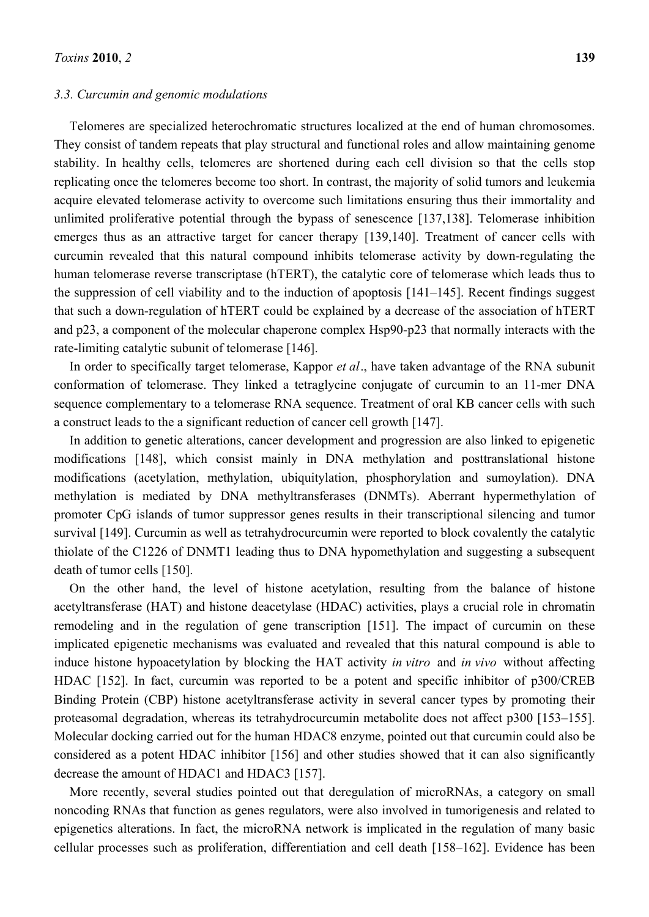#### *3.3. Curcumin and genomic modulations*

Telomeres are specialized heterochromatic structures localized at the end of human chromosomes. They consist of tandem repeats that play structural and functional roles and allow maintaining genome stability. In healthy cells, telomeres are shortened during each cell division so that the cells stop replicating once the telomeres become too short. In contrast, the majority of solid tumors and leukemia acquire elevated telomerase activity to overcome such limitations ensuring thus their immortality and unlimited proliferative potential through the bypass of senescence [137,138]. Telomerase inhibition emerges thus as an attractive target for cancer therapy [139,140]. Treatment of cancer cells with curcumin revealed that this natural compound inhibits telomerase activity by down-regulating the human telomerase reverse transcriptase (hTERT), the catalytic core of telomerase which leads thus to the suppression of cell viability and to the induction of apoptosis [141–145]. Recent findings suggest that such a down-regulation of hTERT could be explained by a decrease of the association of hTERT and p23, a component of the molecular chaperone complex Hsp90-p23 that normally interacts with the rate-limiting catalytic subunit of telomerase [146].

In order to specifically target telomerase, Kappor *et al*., have taken advantage of the RNA subunit conformation of telomerase. They linked a tetraglycine conjugate of curcumin to an 11-mer DNA sequence complementary to a telomerase RNA sequence. Treatment of oral KB cancer cells with such a construct leads to the a significant reduction of cancer cell growth [147].

In addition to genetic alterations, cancer development and progression are also linked to epigenetic modifications [148], which consist mainly in DNA methylation and posttranslational histone modifications (acetylation, methylation, ubiquitylation, phosphorylation and sumoylation). DNA methylation is mediated by DNA methyltransferases (DNMTs). Aberrant hypermethylation of promoter CpG islands of tumor suppressor genes results in their transcriptional silencing and tumor survival [149]. Curcumin as well as tetrahydrocurcumin were reported to block covalently the catalytic thiolate of the C1226 of DNMT1 leading thus to DNA hypomethylation and suggesting a subsequent death of tumor cells [150].

On the other hand, the level of histone acetylation, resulting from the balance of histone acetyltransferase (HAT) and histone deacetylase (HDAC) activities, plays a crucial role in chromatin remodeling and in the regulation of gene transcription [151]. The impact of curcumin on these implicated epigenetic mechanisms was evaluated and revealed that this natural compound is able to induce histone hypoacetylation by blocking the HAT activity *in vitro* and *in vivo* without affecting HDAC [152]. In fact, curcumin was reported to be a potent and specific inhibitor of p300/CREB Binding Protein (CBP) histone acetyltransferase activity in several cancer types by promoting their proteasomal degradation, whereas its tetrahydrocurcumin metabolite does not affect p300 [153–155]. Molecular docking carried out for the human HDAC8 enzyme, pointed out that curcumin could also be considered as a potent HDAC inhibitor [156] and other studies showed that it can also significantly decrease the amount of HDAC1 and HDAC3 [157].

More recently, several studies pointed out that deregulation of microRNAs, a category on small noncoding RNAs that function as genes regulators, were also involved in tumorigenesis and related to epigenetics alterations. In fact, the microRNA network is implicated in the regulation of many basic cellular processes such as proliferation, differentiation and cell death [158–162]. Evidence has been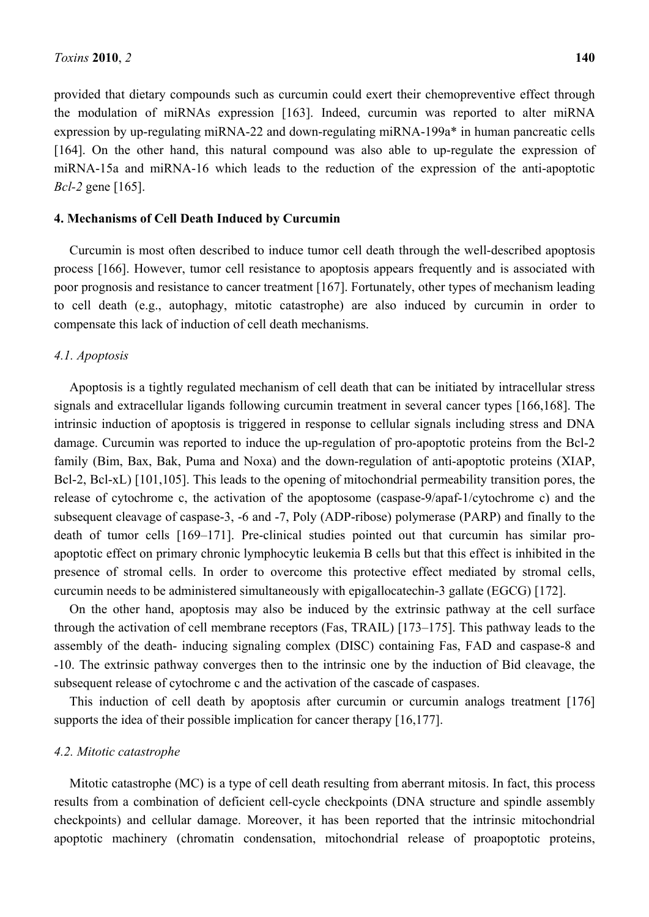provided that dietary compounds such as curcumin could exert their chemopreventive effect through the modulation of miRNAs expression [163]. Indeed, curcumin was reported to alter miRNA expression by up-regulating miRNA-22 and down-regulating miRNA-199a\* in human pancreatic cells [164]. On the other hand, this natural compound was also able to up-regulate the expression of miRNA-15a and miRNA-16 which leads to the reduction of the expression of the anti-apoptotic *Bcl-2* gene [165].

### **4. Mechanisms of Cell Death Induced by Curcumin**

Curcumin is most often described to induce tumor cell death through the well-described apoptosis process [166]. However, tumor cell resistance to apoptosis appears frequently and is associated with poor prognosis and resistance to cancer treatment [167]. Fortunately, other types of mechanism leading to cell death (e.g., autophagy, mitotic catastrophe) are also induced by curcumin in order to compensate this lack of induction of cell death mechanisms.

#### *4.1. Apoptosis*

Apoptosis is a tightly regulated mechanism of cell death that can be initiated by intracellular stress signals and extracellular ligands following curcumin treatment in several cancer types [166,168]. The intrinsic induction of apoptosis is triggered in response to cellular signals including stress and DNA damage. Curcumin was reported to induce the up-regulation of pro-apoptotic proteins from the Bcl-2 family (Bim, Bax, Bak, Puma and Noxa) and the down-regulation of anti-apoptotic proteins (XIAP, Bcl-2, Bcl-xL) [101,105]. This leads to the opening of mitochondrial permeability transition pores, the release of cytochrome c, the activation of the apoptosome (caspase-9/apaf-1/cytochrome c) and the subsequent cleavage of caspase-3, -6 and -7, Poly (ADP-ribose) polymerase (PARP) and finally to the death of tumor cells [169–171]. Pre-clinical studies pointed out that curcumin has similar proapoptotic effect on primary chronic lymphocytic leukemia B cells but that this effect is inhibited in the presence of stromal cells. In order to overcome this protective effect mediated by stromal cells, curcumin needs to be administered simultaneously with epigallocatechin-3 gallate (EGCG) [172].

On the other hand, apoptosis may also be induced by the extrinsic pathway at the cell surface through the activation of cell membrane receptors (Fas, TRAIL) [173–175]. This pathway leads to the assembly of the death- inducing signaling complex (DISC) containing Fas, FAD and caspase-8 and -10. The extrinsic pathway converges then to the intrinsic one by the induction of Bid cleavage, the subsequent release of cytochrome c and the activation of the cascade of caspases.

This induction of cell death by apoptosis after curcumin or curcumin analogs treatment [176] supports the idea of their possible implication for cancer therapy [16,177].

#### *4.2. Mitotic catastrophe*

Mitotic catastrophe (MC) is a type of cell death resulting from aberrant mitosis. In fact, this process results from a combination of deficient cell-cycle checkpoints (DNA structure and spindle assembly checkpoints) and cellular damage. Moreover, it has been reported that the intrinsic mitochondrial apoptotic machinery (chromatin condensation, mitochondrial release of proapoptotic proteins,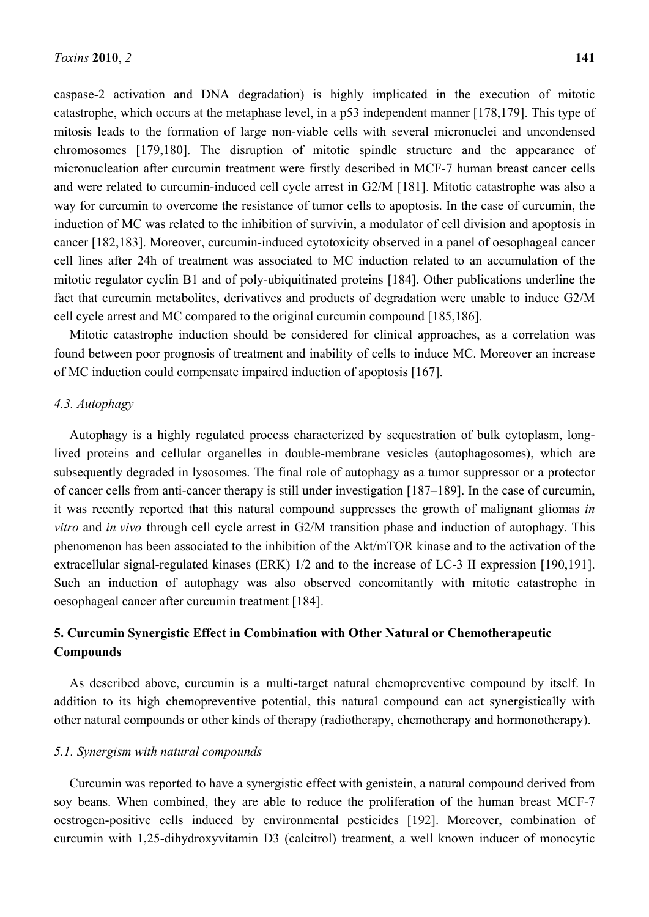caspase-2 activation and DNA degradation) is highly implicated in the execution of mitotic catastrophe, which occurs at the metaphase level, in a p53 independent manner [178,179]. This type of mitosis leads to the formation of large non-viable cells with several micronuclei and uncondensed chromosomes [179,180]. The disruption of mitotic spindle structure and the appearance of micronucleation after curcumin treatment were firstly described in MCF-7 human breast cancer cells and were related to curcumin-induced cell cycle arrest in G2/M [181]. Mitotic catastrophe was also a way for curcumin to overcome the resistance of tumor cells to apoptosis. In the case of curcumin, the induction of MC was related to the inhibition of survivin, a modulator of cell division and apoptosis in cancer [182,183]. Moreover, curcumin-induced cytotoxicity observed in a panel of oesophageal cancer cell lines after 24h of treatment was associated to MC induction related to an accumulation of the mitotic regulator cyclin B1 and of poly-ubiquitinated proteins [184]. Other publications underline the fact that curcumin metabolites, derivatives and products of degradation were unable to induce G2/M cell cycle arrest and MC compared to the original curcumin compound [185,186].

Mitotic catastrophe induction should be considered for clinical approaches, as a correlation was found between poor prognosis of treatment and inability of cells to induce MC. Moreover an increase of MC induction could compensate impaired induction of apoptosis [167].

# *4.3. Autophagy*

Autophagy is a highly regulated process characterized by sequestration of bulk cytoplasm, longlived proteins and cellular organelles in double-membrane vesicles (autophagosomes), which are subsequently degraded in lysosomes. The final role of autophagy as a tumor suppressor or a protector of cancer cells from anti-cancer therapy is still under investigation [187–189]. In the case of curcumin, it was recently reported that this natural compound suppresses the growth of malignant gliomas *in vitro* and *in vivo* through cell cycle arrest in G2/M transition phase and induction of autophagy. This phenomenon has been associated to the inhibition of the Akt/mTOR kinase and to the activation of the extracellular signal-regulated kinases (ERK) 1/2 and to the increase of LC-3 II expression [190,191]. Such an induction of autophagy was also observed concomitantly with mitotic catastrophe in oesophageal cancer after curcumin treatment [184].

# **5. Curcumin Synergistic Effect in Combination with Other Natural or Chemotherapeutic Compounds**

As described above, curcumin is a multi-target natural chemopreventive compound by itself. In addition to its high chemopreventive potential, this natural compound can act synergistically with other natural compounds or other kinds of therapy (radiotherapy, chemotherapy and hormonotherapy).

# *5.1. Synergism with natural compounds*

Curcumin was reported to have a synergistic effect with genistein, a natural compound derived from soy beans. When combined, they are able to reduce the proliferation of the human breast MCF-7 oestrogen-positive cells induced by environmental pesticides [192]. Moreover, combination of curcumin with 1,25-dihydroxyvitamin D3 (calcitrol) treatment, a well known inducer of monocytic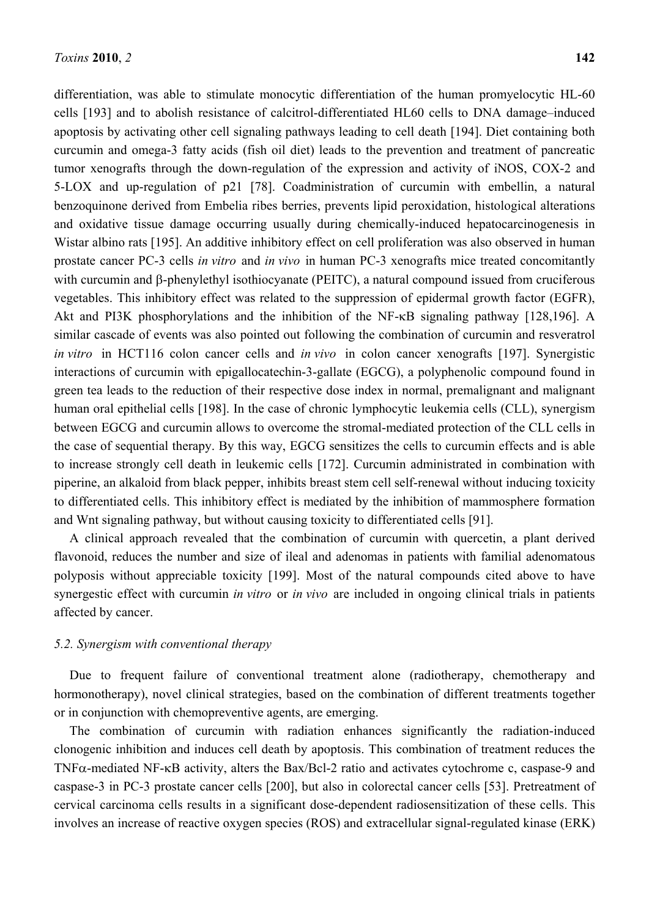differentiation, was able to stimulate monocytic differentiation of the human promyelocytic HL-60 cells [193] and to abolish resistance of calcitrol-differentiated HL60 cells to DNA damage–induced apoptosis by activating other cell signaling pathways leading to cell death [194]. Diet containing both curcumin and omega-3 fatty acids (fish oil diet) leads to the prevention and treatment of pancreatic tumor xenografts through the down-regulation of the expression and activity of iNOS, COX-2 and 5-LOX and up-regulation of p21 [78]. Coadministration of curcumin with embellin, a natural benzoquinone derived from Embelia ribes berries, prevents lipid peroxidation, histological alterations and oxidative tissue damage occurring usually during chemically-induced hepatocarcinogenesis in Wistar albino rats [195]. An additive inhibitory effect on cell proliferation was also observed in human prostate cancer PC-3 cells *in vitro* and *in vivo* in human PC-3 xenografts mice treated concomitantly with curcumin and β-phenylethyl isothiocyanate (PEITC), a natural compound issued from cruciferous vegetables. This inhibitory effect was related to the suppression of epidermal growth factor (EGFR), Akt and PI3K phosphorylations and the inhibition of the NF-κB signaling pathway [128,196]. A similar cascade of events was also pointed out following the combination of curcumin and resveratrol *in vitro* in HCT116 colon cancer cells and *in vivo* in colon cancer xenografts [197]. Synergistic interactions of curcumin with epigallocatechin-3-gallate (EGCG), a polyphenolic compound found in green tea leads to the reduction of their respective dose index in normal, premalignant and malignant human oral epithelial cells [198]. In the case of chronic lymphocytic leukemia cells (CLL), synergism between EGCG and curcumin allows to overcome the stromal-mediated protection of the CLL cells in the case of sequential therapy. By this way, EGCG sensitizes the cells to curcumin effects and is able to increase strongly cell death in leukemic cells [172]. Curcumin administrated in combination with piperine, an alkaloid from black pepper, inhibits breast stem cell self-renewal without inducing toxicity to differentiated cells. This inhibitory effect is mediated by the inhibition of mammosphere formation and Wnt signaling pathway, but without causing toxicity to differentiated cells [91].

A clinical approach revealed that the combination of curcumin with quercetin, a plant derived flavonoid, reduces the number and size of ileal and adenomas in patients with familial adenomatous polyposis without appreciable toxicity [199]. Most of the natural compounds cited above to have synergestic effect with curcumin *in vitro* or *in vivo* are included in ongoing clinical trials in patients affected by cancer.

### *5.2. Synergism with conventional therapy*

Due to frequent failure of conventional treatment alone (radiotherapy, chemotherapy and hormonotherapy), novel clinical strategies, based on the combination of different treatments together or in conjunction with chemopreventive agents, are emerging.

The combination of curcumin with radiation enhances significantly the radiation-induced clonogenic inhibition and induces cell death by apoptosis. This combination of treatment reduces the TNFα-mediated NF-κB activity, alters the Bax/Bcl-2 ratio and activates cytochrome c, caspase-9 and caspase-3 in PC-3 prostate cancer cells [200], but also in colorectal cancer cells [53]. Pretreatment of cervical carcinoma cells results in a significant dose-dependent radiosensitization of these cells. This involves an increase of reactive oxygen species (ROS) and extracellular signal-regulated kinase (ERK)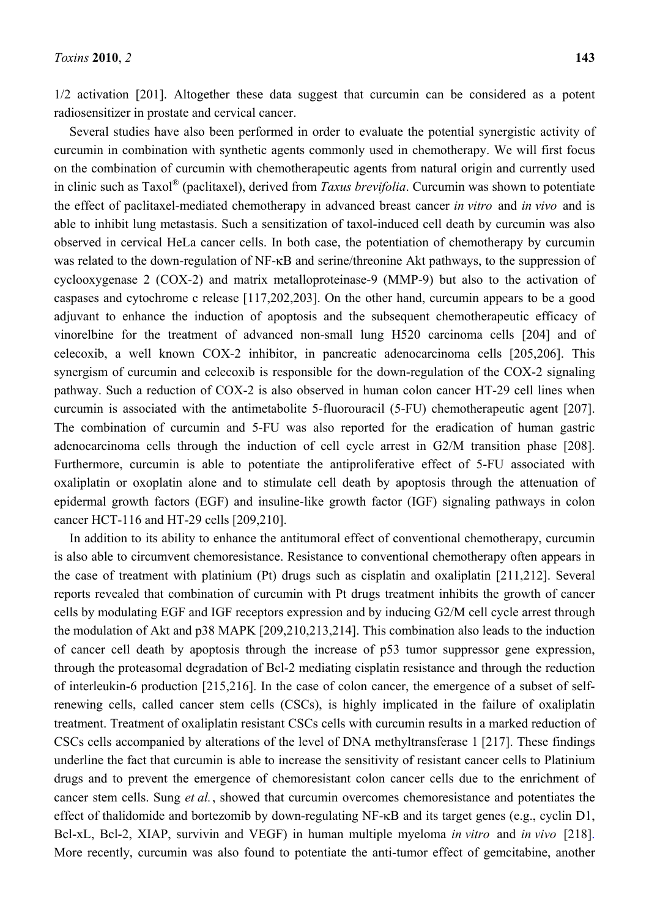1/2 activation [201]. Altogether these data suggest that curcumin can be considered as a potent radiosensitizer in prostate and cervical cancer.

Several studies have also been performed in order to evaluate the potential synergistic activity of curcumin in combination with synthetic agents commonly used in chemotherapy. We will first focus on the combination of curcumin with chemotherapeutic agents from natural origin and currently used in clinic such as Taxol® (paclitaxel), derived from *Taxus brevifolia*. Curcumin was shown to potentiate the effect of paclitaxel-mediated chemotherapy in advanced breast cancer *in vitro* and *in vivo* and is able to inhibit lung metastasis. Such a sensitization of taxol-induced cell death by curcumin was also observed in cervical HeLa cancer cells. In both case, the potentiation of chemotherapy by curcumin was related to the down-regulation of NF-κB and serine/threonine Akt pathways, to the suppression of cyclooxygenase 2 (COX-2) and matrix metalloproteinase-9 (MMP-9) but also to the activation of caspases and cytochrome c release [117,202,203]. On the other hand, curcumin appears to be a good adjuvant to enhance the induction of apoptosis and the subsequent chemotherapeutic efficacy of vinorelbine for the treatment of advanced non-small lung H520 carcinoma cells [204] and of celecoxib, a well known COX-2 inhibitor, in pancreatic adenocarcinoma cells [205,206]. This synergism of curcumin and celecoxib is responsible for the down-regulation of the COX-2 signaling pathway. Such a reduction of COX-2 is also observed in human colon cancer HT-29 cell lines when curcumin is associated with the antimetabolite 5-fluorouracil (5-FU) chemotherapeutic agent [207]. The combination of curcumin and 5-FU was also reported for the eradication of human gastric adenocarcinoma cells through the induction of cell cycle arrest in G2/M transition phase [208]. Furthermore, curcumin is able to potentiate the antiproliferative effect of 5-FU associated with oxaliplatin or oxoplatin alone and to stimulate cell death by apoptosis through the attenuation of epidermal growth factors (EGF) and insuline-like growth factor (IGF) signaling pathways in colon cancer HCT-116 and HT-29 cells [209,210].

In addition to its ability to enhance the antitumoral effect of conventional chemotherapy, curcumin is also able to circumvent chemoresistance. Resistance to conventional chemotherapy often appears in the case of treatment with platinium (Pt) drugs such as cisplatin and oxaliplatin [211,212]. Several reports revealed that combination of curcumin with Pt drugs treatment inhibits the growth of cancer cells by modulating EGF and IGF receptors expression and by inducing G2/M cell cycle arrest through the modulation of Akt and p38 MAPK [209,210,213,214]. This combination also leads to the induction of cancer cell death by apoptosis through the increase of p53 tumor suppressor gene expression, through the proteasomal degradation of Bcl-2 mediating cisplatin resistance and through the reduction of interleukin-6 production [215,216]. In the case of colon cancer, the emergence of a subset of selfrenewing cells, called cancer stem cells (CSCs), is highly implicated in the failure of oxaliplatin treatment. Treatment of oxaliplatin resistant CSCs cells with curcumin results in a marked reduction of CSCs cells accompanied by alterations of the level of DNA methyltransferase 1 [217]. These findings underline the fact that curcumin is able to increase the sensitivity of resistant cancer cells to Platinium drugs and to prevent the emergence of chemoresistant colon cancer cells due to the enrichment of cancer stem cells. Sung *et al.*, showed that curcumin overcomes chemoresistance and potentiates the effect of thalidomide and bortezomib by down-regulating NF-κB and its target genes (e.g., cyclin D1, Bcl-xL, Bcl-2, XIAP, survivin and VEGF) in human multiple myeloma *in vitro* and *in vivo* [218]. More recently, curcumin was also found to potentiate the anti-tumor effect of gemcitabine, another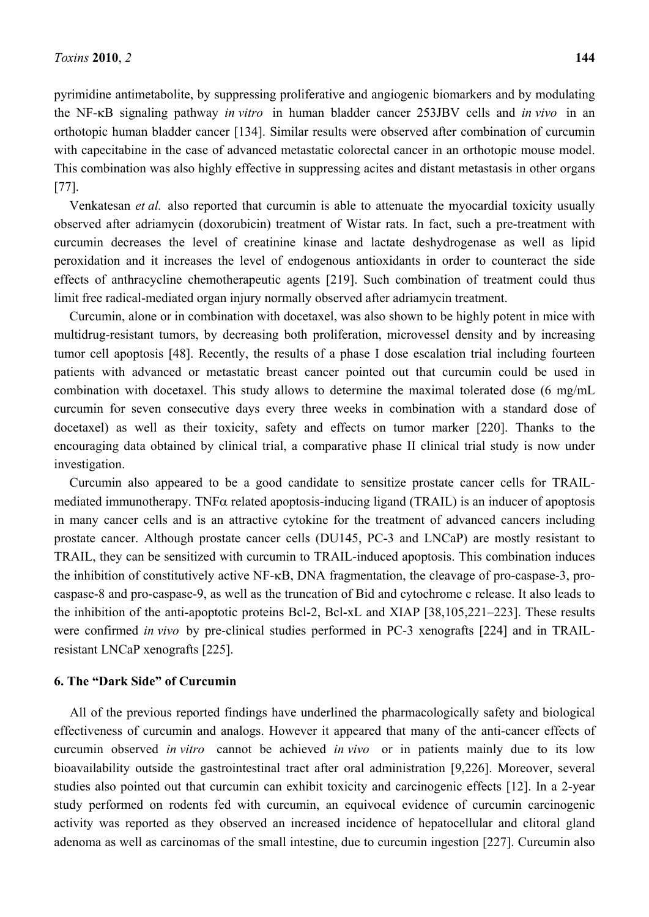pyrimidine antimetabolite, by suppressing proliferative and angiogenic biomarkers and by modulating the NF-κB signaling pathway *in vitro* in human bladder cancer 253JBV cells and *in vivo* in an orthotopic human bladder cancer [134]. Similar results were observed after combination of curcumin with capecitabine in the case of advanced metastatic colorectal cancer in an orthotopic mouse model. This combination was also highly effective in suppressing acites and distant metastasis in other organs [77].

Venkatesan *et al.* also reported that curcumin is able to attenuate the myocardial toxicity usually observed after adriamycin (doxorubicin) treatment of Wistar rats. In fact, such a pre-treatment with curcumin decreases the level of creatinine kinase and lactate deshydrogenase as well as lipid peroxidation and it increases the level of endogenous antioxidants in order to counteract the side effects of anthracycline chemotherapeutic agents [219]. Such combination of treatment could thus limit free radical-mediated organ injury normally observed after adriamycin treatment.

Curcumin, alone or in combination with docetaxel, was also shown to be highly potent in mice with multidrug-resistant tumors, by decreasing both proliferation, microvessel density and by increasing tumor cell apoptosis [48]. Recently, the results of a phase I dose escalation trial including fourteen patients with advanced or metastatic breast cancer pointed out that curcumin could be used in combination with docetaxel. This study allows to determine the maximal tolerated dose (6 mg/mL curcumin for seven consecutive days every three weeks in combination with a standard dose of docetaxel) as well as their toxicity, safety and effects on tumor marker [220]. Thanks to the encouraging data obtained by clinical trial, a comparative phase II clinical trial study is now under investigation.

Curcumin also appeared to be a good candidate to sensitize prostate cancer cells for TRAILmediated immunotherapy. TNF $\alpha$  related apoptosis-inducing ligand (TRAIL) is an inducer of apoptosis in many cancer cells and is an attractive cytokine for the treatment of advanced cancers including prostate cancer. Although prostate cancer cells (DU145, PC-3 and LNCaP) are mostly resistant to TRAIL, they can be sensitized with curcumin to TRAIL-induced apoptosis. This combination induces the inhibition of constitutively active NF-κB, DNA fragmentation, the cleavage of pro-caspase-3, procaspase-8 and pro-caspase-9, as well as the truncation of Bid and cytochrome c release. It also leads to the inhibition of the anti-apoptotic proteins Bcl-2, Bcl-xL and XIAP [38,105,221–223]. These results were confirmed *in vivo* by pre-clinical studies performed in PC-3 xenografts [224] and in TRAILresistant LNCaP xenografts [225].

### **6. The "Dark Side" of Curcumin**

All of the previous reported findings have underlined the pharmacologically safety and biological effectiveness of curcumin and analogs. However it appeared that many of the anti-cancer effects of curcumin observed *in vitro* cannot be achieved *in vivo* or in patients mainly due to its low bioavailability outside the gastrointestinal tract after oral administration [9,226]. Moreover, several studies also pointed out that curcumin can exhibit toxicity and carcinogenic effects [12]. In a 2-year study performed on rodents fed with curcumin, an equivocal evidence of curcumin carcinogenic activity was reported as they observed an increased incidence of hepatocellular and clitoral gland adenoma as well as carcinomas of the small intestine, due to curcumin ingestion [227]. Curcumin also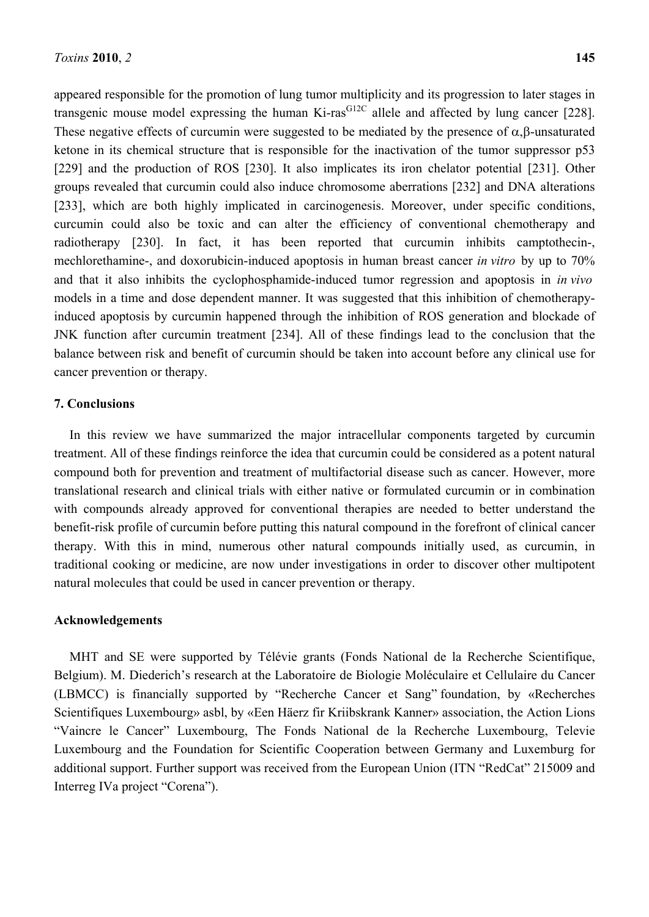appeared responsible for the promotion of lung tumor multiplicity and its progression to later stages in transgenic mouse model expressing the human Ki-ras<sup>G12C</sup> allele and affected by lung cancer [228]. These negative effects of curcumin were suggested to be mediated by the presence of  $\alpha$ , $\beta$ -unsaturated ketone in its chemical structure that is responsible for the inactivation of the tumor suppressor p53 [229] and the production of ROS [230]. It also implicates its iron chelator potential [231]. Other groups revealed that curcumin could also induce chromosome aberrations [232] and DNA alterations [233], which are both highly implicated in carcinogenesis. Moreover, under specific conditions, curcumin could also be toxic and can alter the efficiency of conventional chemotherapy and radiotherapy [230]. In fact, it has been reported that curcumin inhibits camptothecin-, mechlorethamine-, and doxorubicin-induced apoptosis in human breast cancer *in vitro* by up to 70% and that it also inhibits the cyclophosphamide-induced tumor regression and apoptosis in *in vivo*  models in a time and dose dependent manner. It was suggested that this inhibition of chemotherapyinduced apoptosis by curcumin happened through the inhibition of ROS generation and blockade of JNK function after curcumin treatment [234]. All of these findings lead to the conclusion that the balance between risk and benefit of curcumin should be taken into account before any clinical use for cancer prevention or therapy.

### **7. Conclusions**

In this review we have summarized the major intracellular components targeted by curcumin treatment. All of these findings reinforce the idea that curcumin could be considered as a potent natural compound both for prevention and treatment of multifactorial disease such as cancer. However, more translational research and clinical trials with either native or formulated curcumin or in combination with compounds already approved for conventional therapies are needed to better understand the benefit-risk profile of curcumin before putting this natural compound in the forefront of clinical cancer therapy. With this in mind, numerous other natural compounds initially used, as curcumin, in traditional cooking or medicine, are now under investigations in order to discover other multipotent natural molecules that could be used in cancer prevention or therapy.

#### **Acknowledgements**

MHT and SE were supported by Télévie grants (Fonds National de la Recherche Scientifique, Belgium). M. Diederich's research at the Laboratoire de Biologie Moléculaire et Cellulaire du Cancer (LBMCC) is financially supported by "Recherche Cancer et Sang" foundation, by «Recherches Scientifiques Luxembourg» asbl, by «Een Häerz fir Kriibskrank Kanner» association, the Action Lions "Vaincre le Cancer" Luxembourg, The Fonds National de la Recherche Luxembourg, Televie Luxembourg and the Foundation for Scientific Cooperation between Germany and Luxemburg for additional support. Further support was received from the European Union (ITN "RedCat" 215009 and Interreg IVa project "Corena").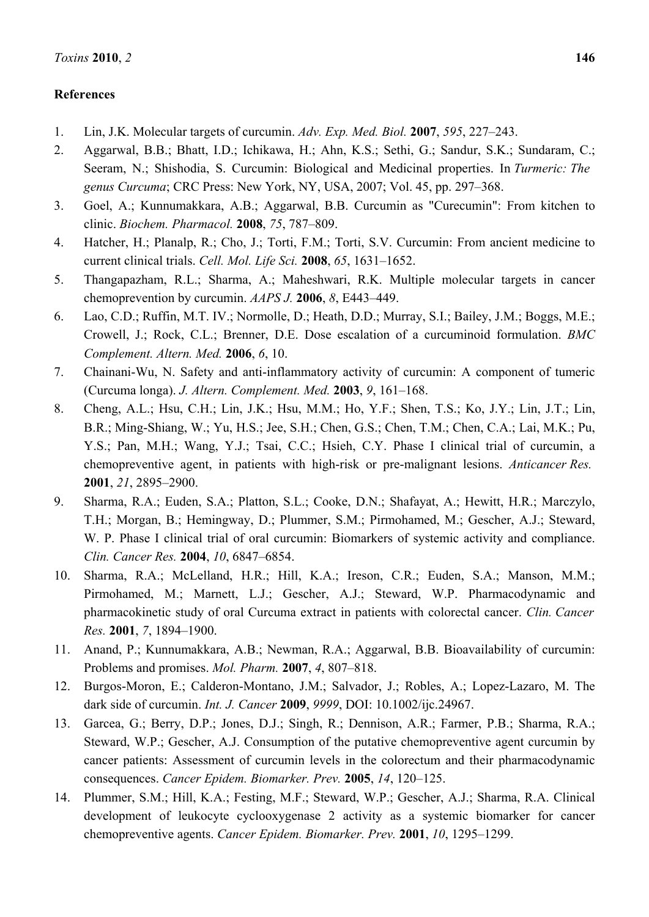# **References**

- 1. Lin, J.K. Molecular targets of curcumin. *Adv. Exp. Med. Biol.* **2007**, *595*, 227–243.
- 2. Aggarwal, B.B.; Bhatt, I.D.; Ichikawa, H.; Ahn, K.S.; Sethi, G.; Sandur, S.K.; Sundaram, C.; Seeram, N.; Shishodia, S. Curcumin: Biological and Medicinal properties. In *Turmeric: The genus Curcuma*; CRC Press: New York, NY, USA, 2007; Vol. 45, pp. 297–368.
- 3. Goel, A.; Kunnumakkara, A.B.; Aggarwal, B.B. Curcumin as "Curecumin": From kitchen to clinic. *Biochem. Pharmacol.* **2008**, *75*, 787–809.
- 4. Hatcher, H.; Planalp, R.; Cho, J.; Torti, F.M.; Torti, S.V. Curcumin: From ancient medicine to current clinical trials. *Cell. Mol. Life Sci.* **2008**, *65*, 1631–1652.
- 5. Thangapazham, R.L.; Sharma, A.; Maheshwari, R.K. Multiple molecular targets in cancer chemoprevention by curcumin. *AAPS J.* **2006**, *8*, E443–449.
- 6. Lao, C.D.; Ruffin, M.T. IV.; Normolle, D.; Heath, D.D.; Murray, S.I.; Bailey, J.M.; Boggs, M.E.; Crowell, J.; Rock, C.L.; Brenner, D.E. Dose escalation of a curcuminoid formulation. *BMC Complement. Altern. Med.* **2006**, *6*, 10.
- 7. Chainani-Wu, N. Safety and anti-inflammatory activity of curcumin: A component of tumeric (Curcuma longa). *J. Altern. Complement. Med.* **2003**, *9*, 161–168.
- 8. Cheng, A.L.; Hsu, C.H.; Lin, J.K.; Hsu, M.M.; Ho, Y.F.; Shen, T.S.; Ko, J.Y.; Lin, J.T.; Lin, B.R.; Ming-Shiang, W.; Yu, H.S.; Jee, S.H.; Chen, G.S.; Chen, T.M.; Chen, C.A.; Lai, M.K.; Pu, Y.S.; Pan, M.H.; Wang, Y.J.; Tsai, C.C.; Hsieh, C.Y. Phase I clinical trial of curcumin, a chemopreventive agent, in patients with high-risk or pre-malignant lesions. *Anticancer Res.*  **2001**, *21*, 2895–2900.
- 9. Sharma, R.A.; Euden, S.A.; Platton, S.L.; Cooke, D.N.; Shafayat, A.; Hewitt, H.R.; Marczylo, T.H.; Morgan, B.; Hemingway, D.; Plummer, S.M.; Pirmohamed, M.; Gescher, A.J.; Steward, W. P. Phase I clinical trial of oral curcumin: Biomarkers of systemic activity and compliance. *Clin. Cancer Res.* **2004**, *10*, 6847–6854.
- 10. Sharma, R.A.; McLelland, H.R.; Hill, K.A.; Ireson, C.R.; Euden, S.A.; Manson, M.M.; Pirmohamed, M.; Marnett, L.J.; Gescher, A.J.; Steward, W.P. Pharmacodynamic and pharmacokinetic study of oral Curcuma extract in patients with colorectal cancer. *Clin. Cancer Res.* **2001**, *7*, 1894–1900.
- 11. Anand, P.; Kunnumakkara, A.B.; Newman, R.A.; Aggarwal, B.B. Bioavailability of curcumin: Problems and promises. *Mol. Pharm.* **2007**, *4*, 807–818.
- 12. Burgos-Moron, E.; Calderon-Montano, J.M.; Salvador, J.; Robles, A.; Lopez-Lazaro, M. The dark side of curcumin. *Int. J. Cancer* **2009**, *9999*, DOI: 10.1002/ijc.24967.
- 13. Garcea, G.; Berry, D.P.; Jones, D.J.; Singh, R.; Dennison, A.R.; Farmer, P.B.; Sharma, R.A.; Steward, W.P.; Gescher, A.J. Consumption of the putative chemopreventive agent curcumin by cancer patients: Assessment of curcumin levels in the colorectum and their pharmacodynamic consequences. *Cancer Epidem. Biomarker. Prev.* **2005**, *14*, 120–125.
- 14. Plummer, S.M.; Hill, K.A.; Festing, M.F.; Steward, W.P.; Gescher, A.J.; Sharma, R.A. Clinical development of leukocyte cyclooxygenase 2 activity as a systemic biomarker for cancer chemopreventive agents. *Cancer Epidem. Biomarker. Prev.* **2001**, *10*, 1295–1299.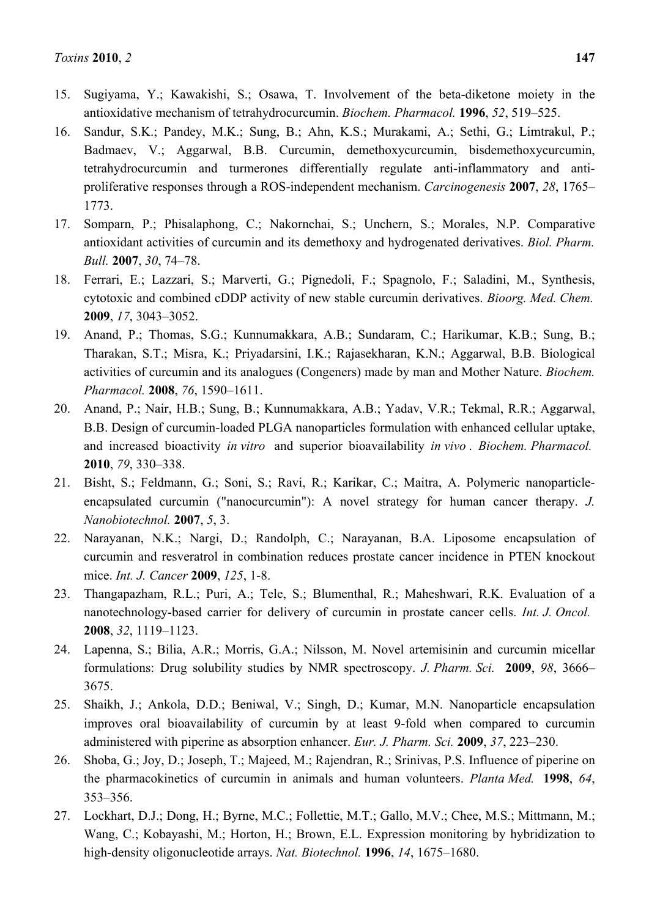- 15. Sugiyama, Y.; Kawakishi, S.; Osawa, T. Involvement of the beta-diketone moiety in the antioxidative mechanism of tetrahydrocurcumin. *Biochem. Pharmacol.* **1996**, *52*, 519–525.
- 16. Sandur, S.K.; Pandey, M.K.; Sung, B.; Ahn, K.S.; Murakami, A.; Sethi, G.; Limtrakul, P.; Badmaev, V.; Aggarwal, B.B. Curcumin, demethoxycurcumin, bisdemethoxycurcumin, tetrahydrocurcumin and turmerones differentially regulate anti-inflammatory and antiproliferative responses through a ROS-independent mechanism. *Carcinogenesis* **2007**, *28*, 1765– 1773.
- 17. Somparn, P.; Phisalaphong, C.; Nakornchai, S.; Unchern, S.; Morales, N.P. Comparative antioxidant activities of curcumin and its demethoxy and hydrogenated derivatives. *Biol. Pharm. Bull.* **2007**, *30*, 74–78.
- 18. Ferrari, E.; Lazzari, S.; Marverti, G.; Pignedoli, F.; Spagnolo, F.; Saladini, M., Synthesis, cytotoxic and combined cDDP activity of new stable curcumin derivatives. *Bioorg. Med. Chem.*  **2009**, *17*, 3043–3052.
- 19. Anand, P.; Thomas, S.G.; Kunnumakkara, A.B.; Sundaram, C.; Harikumar, K.B.; Sung, B.; Tharakan, S.T.; Misra, K.; Priyadarsini, I.K.; Rajasekharan, K.N.; Aggarwal, B.B. Biological activities of curcumin and its analogues (Congeners) made by man and Mother Nature. *Biochem. Pharmacol.* **2008**, *76*, 1590–1611.
- 20. Anand, P.; Nair, H.B.; Sung, B.; Kunnumakkara, A.B.; Yadav, V.R.; Tekmal, R.R.; Aggarwal, B.B. Design of curcumin-loaded PLGA nanoparticles formulation with enhanced cellular uptake, and increased bioactivity *in vitro* and superior bioavailability *in vivo* . *Biochem. Pharmacol.*  **2010**, *79*, 330–338.
- 21. Bisht, S.; Feldmann, G.; Soni, S.; Ravi, R.; Karikar, C.; Maitra, A. Polymeric nanoparticleencapsulated curcumin ("nanocurcumin"): A novel strategy for human cancer therapy. *J. Nanobiotechnol.* **2007**, *5*, 3.
- 22. Narayanan, N.K.; Nargi, D.; Randolph, C.; Narayanan, B.A. Liposome encapsulation of curcumin and resveratrol in combination reduces prostate cancer incidence in PTEN knockout mice. *Int. J. Cancer* **2009**, *125*, 1-8.
- 23. Thangapazham, R.L.; Puri, A.; Tele, S.; Blumenthal, R.; Maheshwari, R.K. Evaluation of a nanotechnology-based carrier for delivery of curcumin in prostate cancer cells. *Int. J. Oncol.*  **2008**, *32*, 1119–1123.
- 24. Lapenna, S.; Bilia, A.R.; Morris, G.A.; Nilsson, M. Novel artemisinin and curcumin micellar formulations: Drug solubility studies by NMR spectroscopy. *J. Pharm. Sci.* **2009**, *98*, 3666– 3675.
- 25. Shaikh, J.; Ankola, D.D.; Beniwal, V.; Singh, D.; Kumar, M.N. Nanoparticle encapsulation improves oral bioavailability of curcumin by at least 9-fold when compared to curcumin administered with piperine as absorption enhancer. *Eur. J. Pharm. Sci.* **2009**, *37*, 223–230.
- 26. Shoba, G.; Joy, D.; Joseph, T.; Majeed, M.; Rajendran, R.; Srinivas, P.S. Influence of piperine on the pharmacokinetics of curcumin in animals and human volunteers. *Planta Med.* **1998**, *64*, 353–356.
- 27. Lockhart, D.J.; Dong, H.; Byrne, M.C.; Follettie, M.T.; Gallo, M.V.; Chee, M.S.; Mittmann, M.; Wang, C.; Kobayashi, M.; Horton, H.; Brown, E.L. Expression monitoring by hybridization to high-density oligonucleotide arrays. *Nat. Biotechnol.* **1996**, *14*, 1675–1680.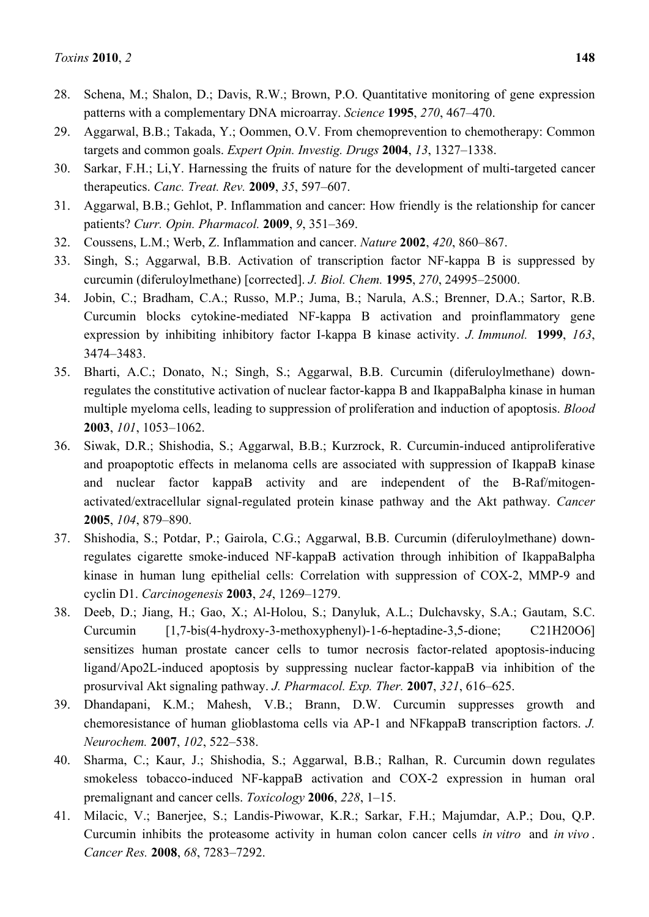- 28. Schena, M.; Shalon, D.; Davis, R.W.; Brown, P.O. Quantitative monitoring of gene expression patterns with a complementary DNA microarray. *Science* **1995**, *270*, 467–470.
- 29. Aggarwal, B.B.; Takada, Y.; Oommen, O.V. From chemoprevention to chemotherapy: Common targets and common goals. *Expert Opin. Investig. Drugs* **2004**, *13*, 1327–1338.
- 30. Sarkar, F.H.; Li,Y. Harnessing the fruits of nature for the development of multi-targeted cancer therapeutics. *Canc. Treat. Rev.* **2009**, *35*, 597–607.
- 31. Aggarwal, B.B.; Gehlot, P. Inflammation and cancer: How friendly is the relationship for cancer patients? *Curr. Opin. Pharmacol.* **2009**, *9*, 351–369.
- 32. Coussens, L.M.; Werb, Z. Inflammation and cancer. *Nature* **2002**, *420*, 860–867.
- 33. Singh, S.; Aggarwal, B.B. Activation of transcription factor NF-kappa B is suppressed by curcumin (diferuloylmethane) [corrected]. *J. Biol. Chem.* **1995**, *270*, 24995–25000.
- 34. Jobin, C.; Bradham, C.A.; Russo, M.P.; Juma, B.; Narula, A.S.; Brenner, D.A.; Sartor, R.B. Curcumin blocks cytokine-mediated NF-kappa B activation and proinflammatory gene expression by inhibiting inhibitory factor I-kappa B kinase activity. *J. Immunol.* **1999**, *163*, 3474–3483.
- 35. Bharti, A.C.; Donato, N.; Singh, S.; Aggarwal, B.B. Curcumin (diferuloylmethane) downregulates the constitutive activation of nuclear factor-kappa B and IkappaBalpha kinase in human multiple myeloma cells, leading to suppression of proliferation and induction of apoptosis. *Blood*  **2003**, *101*, 1053–1062.
- 36. Siwak, D.R.; Shishodia, S.; Aggarwal, B.B.; Kurzrock, R. Curcumin-induced antiproliferative and proapoptotic effects in melanoma cells are associated with suppression of IkappaB kinase and nuclear factor kappaB activity and are independent of the B-Raf/mitogenactivated/extracellular signal-regulated protein kinase pathway and the Akt pathway. *Cancer*  **2005**, *104*, 879–890.
- 37. Shishodia, S.; Potdar, P.; Gairola, C.G.; Aggarwal, B.B. Curcumin (diferuloylmethane) downregulates cigarette smoke-induced NF-kappaB activation through inhibition of IkappaBalpha kinase in human lung epithelial cells: Correlation with suppression of COX-2, MMP-9 and cyclin D1. *Carcinogenesis* **2003**, *24*, 1269–1279.
- 38. Deeb, D.; Jiang, H.; Gao, X.; Al-Holou, S.; Danyluk, A.L.; Dulchavsky, S.A.; Gautam, S.C. Curcumin [1,7-bis(4-hydroxy-3-methoxyphenyl)-1-6-heptadine-3,5-dione; C21H20O6] sensitizes human prostate cancer cells to tumor necrosis factor-related apoptosis-inducing ligand/Apo2L-induced apoptosis by suppressing nuclear factor-kappaB via inhibition of the prosurvival Akt signaling pathway. *J. Pharmacol. Exp. Ther.* **2007**, *321*, 616–625.
- 39. Dhandapani, K.M.; Mahesh, V.B.; Brann, D.W. Curcumin suppresses growth and chemoresistance of human glioblastoma cells via AP-1 and NFkappaB transcription factors. *J. Neurochem.* **2007**, *102*, 522–538.
- 40. Sharma, C.; Kaur, J.; Shishodia, S.; Aggarwal, B.B.; Ralhan, R. Curcumin down regulates smokeless tobacco-induced NF-kappaB activation and COX-2 expression in human oral premalignant and cancer cells. *Toxicology* **2006**, *228*, 1–15.
- 41. Milacic, V.; Banerjee, S.; Landis-Piwowar, K.R.; Sarkar, F.H.; Majumdar, A.P.; Dou, Q.P. Curcumin inhibits the proteasome activity in human colon cancer cells *in vitro* and *in vivo* . *Cancer Res.* **2008**, *68*, 7283–7292.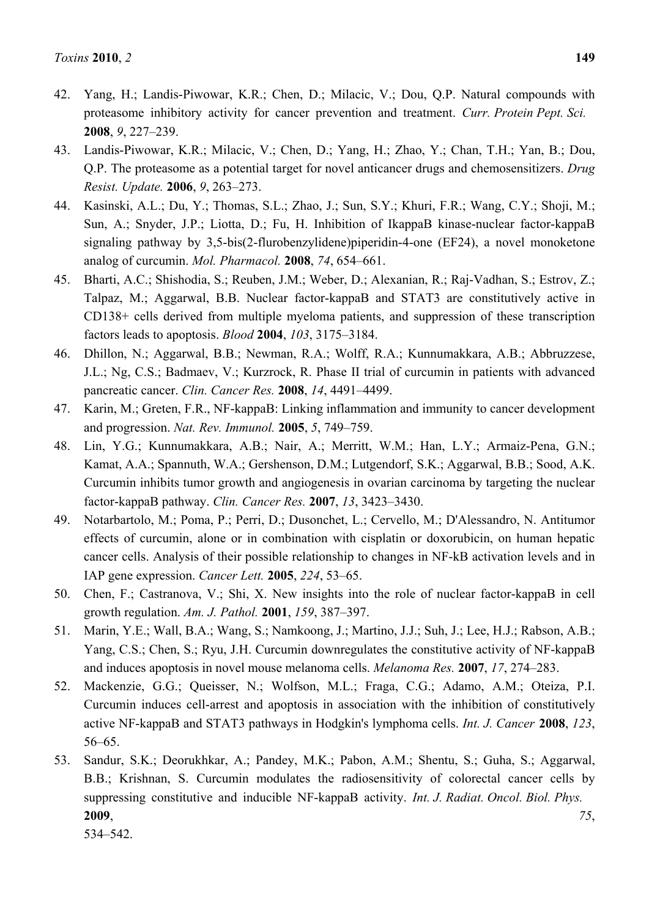- 42. Yang, H.; Landis-Piwowar, K.R.; Chen, D.; Milacic, V.; Dou, Q.P. Natural compounds with proteasome inhibitory activity for cancer prevention and treatment. *Curr. Protein Pept. Sci.*  **2008**, *9*, 227–239.
- 43. Landis-Piwowar, K.R.; Milacic, V.; Chen, D.; Yang, H.; Zhao, Y.; Chan, T.H.; Yan, B.; Dou, Q.P. The proteasome as a potential target for novel anticancer drugs and chemosensitizers. *Drug Resist. Update.* **2006**, *9*, 263–273.
- 44. Kasinski, A.L.; Du, Y.; Thomas, S.L.; Zhao, J.; Sun, S.Y.; Khuri, F.R.; Wang, C.Y.; Shoji, M.; Sun, A.; Snyder, J.P.; Liotta, D.; Fu, H. Inhibition of IkappaB kinase-nuclear factor-kappaB signaling pathway by 3,5-bis(2-flurobenzylidene)piperidin-4-one (EF24), a novel monoketone analog of curcumin. *Mol. Pharmacol.* **2008**, *74*, 654–661.
- 45. Bharti, A.C.; Shishodia, S.; Reuben, J.M.; Weber, D.; Alexanian, R.; Raj-Vadhan, S.; Estrov, Z.; Talpaz, M.; Aggarwal, B.B. Nuclear factor-kappaB and STAT3 are constitutively active in CD138+ cells derived from multiple myeloma patients, and suppression of these transcription factors leads to apoptosis. *Blood* **2004**, *103*, 3175–3184.
- 46. Dhillon, N.; Aggarwal, B.B.; Newman, R.A.; Wolff, R.A.; Kunnumakkara, A.B.; Abbruzzese, J.L.; Ng, C.S.; Badmaev, V.; Kurzrock, R. Phase II trial of curcumin in patients with advanced pancreatic cancer. *Clin. Cancer Res.* **2008**, *14*, 4491–4499.
- 47. Karin, M.; Greten, F.R., NF-kappaB: Linking inflammation and immunity to cancer development and progression. *Nat. Rev. Immunol.* **2005**, *5*, 749–759.
- 48. Lin, Y.G.; Kunnumakkara, A.B.; Nair, A.; Merritt, W.M.; Han, L.Y.; Armaiz-Pena, G.N.; Kamat, A.A.; Spannuth, W.A.; Gershenson, D.M.; Lutgendorf, S.K.; Aggarwal, B.B.; Sood, A.K. Curcumin inhibits tumor growth and angiogenesis in ovarian carcinoma by targeting the nuclear factor-kappaB pathway. *Clin. Cancer Res.* **2007**, *13*, 3423–3430.
- 49. Notarbartolo, M.; Poma, P.; Perri, D.; Dusonchet, L.; Cervello, M.; D'Alessandro, N. Antitumor effects of curcumin, alone or in combination with cisplatin or doxorubicin, on human hepatic cancer cells. Analysis of their possible relationship to changes in NF-kB activation levels and in IAP gene expression. *Cancer Lett.* **2005**, *224*, 53–65.
- 50. Chen, F.; Castranova, V.; Shi, X. New insights into the role of nuclear factor-kappaB in cell growth regulation. *Am. J. Pathol.* **2001**, *159*, 387–397.
- 51. Marin, Y.E.; Wall, B.A.; Wang, S.; Namkoong, J.; Martino, J.J.; Suh, J.; Lee, H.J.; Rabson, A.B.; Yang, C.S.; Chen, S.; Ryu, J.H. Curcumin downregulates the constitutive activity of NF-kappaB and induces apoptosis in novel mouse melanoma cells. *Melanoma Res.* **2007**, *17*, 274–283.
- 52. Mackenzie, G.G.; Queisser, N.; Wolfson, M.L.; Fraga, C.G.; Adamo, A.M.; Oteiza, P.I. Curcumin induces cell-arrest and apoptosis in association with the inhibition of constitutively active NF-kappaB and STAT3 pathways in Hodgkin's lymphoma cells. *Int. J. Cancer* **2008**, *123*, 56–65.
- 53. Sandur, S.K.; Deorukhkar, A.; Pandey, M.K.; Pabon, A.M.; Shentu, S.; Guha, S.; Aggarwal, B.B.; Krishnan, S. Curcumin modulates the radiosensitivity of colorectal cancer cells by suppressing constitutive and inducible NF-kappaB activity. *Int. J. Radiat. Oncol. Biol. Phys.*  **2009**, *75*, 534–542.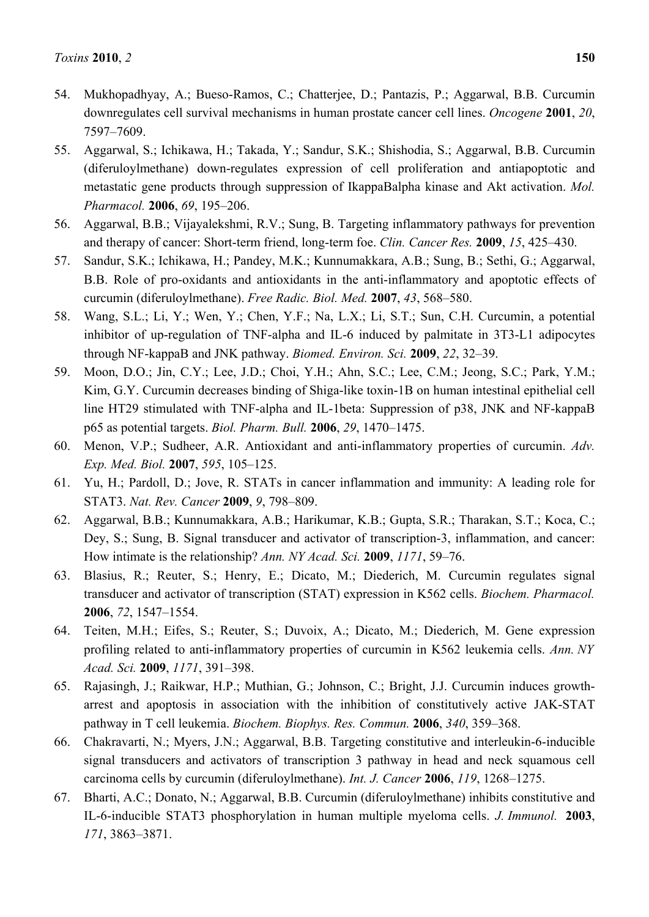- 54. Mukhopadhyay, A.; Bueso-Ramos, C.; Chatterjee, D.; Pantazis, P.; Aggarwal, B.B. Curcumin downregulates cell survival mechanisms in human prostate cancer cell lines. *Oncogene* **2001**, *20*, 7597–7609.
- 55. Aggarwal, S.; Ichikawa, H.; Takada, Y.; Sandur, S.K.; Shishodia, S.; Aggarwal, B.B. Curcumin (diferuloylmethane) down-regulates expression of cell proliferation and antiapoptotic and metastatic gene products through suppression of IkappaBalpha kinase and Akt activation. *Mol. Pharmacol.* **2006**, *69*, 195–206.
- 56. Aggarwal, B.B.; Vijayalekshmi, R.V.; Sung, B. Targeting inflammatory pathways for prevention and therapy of cancer: Short-term friend, long-term foe. *Clin. Cancer Res.* **2009**, *15*, 425–430.
- 57. Sandur, S.K.; Ichikawa, H.; Pandey, M.K.; Kunnumakkara, A.B.; Sung, B.; Sethi, G.; Aggarwal, B.B. Role of pro-oxidants and antioxidants in the anti-inflammatory and apoptotic effects of curcumin (diferuloylmethane). *Free Radic. Biol. Med.* **2007**, *43*, 568–580.
- 58. Wang, S.L.; Li, Y.; Wen, Y.; Chen, Y.F.; Na, L.X.; Li, S.T.; Sun, C.H. Curcumin, a potential inhibitor of up-regulation of TNF-alpha and IL-6 induced by palmitate in 3T3-L1 adipocytes through NF-kappaB and JNK pathway. *Biomed. Environ. Sci.* **2009**, *22*, 32–39.
- 59. Moon, D.O.; Jin, C.Y.; Lee, J.D.; Choi, Y.H.; Ahn, S.C.; Lee, C.M.; Jeong, S.C.; Park, Y.M.; Kim, G.Y. Curcumin decreases binding of Shiga-like toxin-1B on human intestinal epithelial cell line HT29 stimulated with TNF-alpha and IL-1beta: Suppression of p38, JNK and NF-kappaB p65 as potential targets. *Biol. Pharm. Bull.* **2006**, *29*, 1470–1475.
- 60. Menon, V.P.; Sudheer, A.R. Antioxidant and anti-inflammatory properties of curcumin. *Adv. Exp. Med. Biol.* **2007**, *595*, 105–125.
- 61. Yu, H.; Pardoll, D.; Jove, R. STATs in cancer inflammation and immunity: A leading role for STAT3. *Nat. Rev. Cancer* **2009**, *9*, 798–809.
- 62. Aggarwal, B.B.; Kunnumakkara, A.B.; Harikumar, K.B.; Gupta, S.R.; Tharakan, S.T.; Koca, C.; Dey, S.; Sung, B. Signal transducer and activator of transcription-3, inflammation, and cancer: How intimate is the relationship? *Ann. NY Acad. Sci.* **2009**, *1171*, 59–76.
- 63. Blasius, R.; Reuter, S.; Henry, E.; Dicato, M.; Diederich, M. Curcumin regulates signal transducer and activator of transcription (STAT) expression in K562 cells. *Biochem. Pharmacol.*  **2006**, *72*, 1547–1554.
- 64. Teiten, M.H.; Eifes, S.; Reuter, S.; Duvoix, A.; Dicato, M.; Diederich, M. Gene expression profiling related to anti-inflammatory properties of curcumin in K562 leukemia cells. *Ann. NY Acad. Sci.* **2009**, *1171*, 391–398.
- 65. Rajasingh, J.; Raikwar, H.P.; Muthian, G.; Johnson, C.; Bright, J.J. Curcumin induces growtharrest and apoptosis in association with the inhibition of constitutively active JAK-STAT pathway in T cell leukemia. *Biochem. Biophys. Res. Commun.* **2006**, *340*, 359–368.
- 66. Chakravarti, N.; Myers, J.N.; Aggarwal, B.B. Targeting constitutive and interleukin-6-inducible signal transducers and activators of transcription 3 pathway in head and neck squamous cell carcinoma cells by curcumin (diferuloylmethane). *Int. J. Cancer* **2006**, *119*, 1268–1275.
- 67. Bharti, A.C.; Donato, N.; Aggarwal, B.B. Curcumin (diferuloylmethane) inhibits constitutive and IL-6-inducible STAT3 phosphorylation in human multiple myeloma cells. *J. Immunol.* **2003**, *171*, 3863–3871.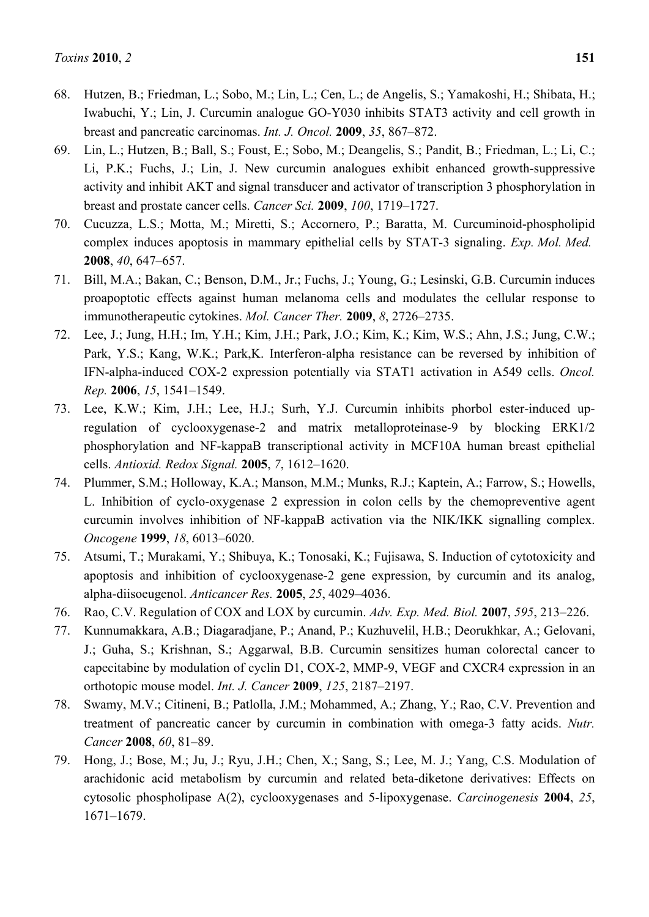- 68. Hutzen, B.; Friedman, L.; Sobo, M.; Lin, L.; Cen, L.; de Angelis, S.; Yamakoshi, H.; Shibata, H.; Iwabuchi, Y.; Lin, J. Curcumin analogue GO-Y030 inhibits STAT3 activity and cell growth in breast and pancreatic carcinomas. *Int. J. Oncol.* **2009**, *35*, 867–872.
- 69. Lin, L.; Hutzen, B.; Ball, S.; Foust, E.; Sobo, M.; Deangelis, S.; Pandit, B.; Friedman, L.; Li, C.; Li, P.K.; Fuchs, J.; Lin, J. New curcumin analogues exhibit enhanced growth-suppressive activity and inhibit AKT and signal transducer and activator of transcription 3 phosphorylation in breast and prostate cancer cells. *Cancer Sci.* **2009**, *100*, 1719–1727.
- 70. Cucuzza, L.S.; Motta, M.; Miretti, S.; Accornero, P.; Baratta, M. Curcuminoid-phospholipid complex induces apoptosis in mammary epithelial cells by STAT-3 signaling. *Exp. Mol. Med.*  **2008**, *40*, 647–657.
- 71. Bill, M.A.; Bakan, C.; Benson, D.M., Jr.; Fuchs, J.; Young, G.; Lesinski, G.B. Curcumin induces proapoptotic effects against human melanoma cells and modulates the cellular response to immunotherapeutic cytokines. *Mol. Cancer Ther.* **2009**, *8*, 2726–2735.
- 72. Lee, J.; Jung, H.H.; Im, Y.H.; Kim, J.H.; Park, J.O.; Kim, K.; Kim, W.S.; Ahn, J.S.; Jung, C.W.; Park, Y.S.; Kang, W.K.; Park,K. Interferon-alpha resistance can be reversed by inhibition of IFN-alpha-induced COX-2 expression potentially via STAT1 activation in A549 cells. *Oncol. Rep.* **2006**, *15*, 1541–1549.
- 73. Lee, K.W.; Kim, J.H.; Lee, H.J.; Surh, Y.J. Curcumin inhibits phorbol ester-induced upregulation of cyclooxygenase-2 and matrix metalloproteinase-9 by blocking ERK1/2 phosphorylation and NF-kappaB transcriptional activity in MCF10A human breast epithelial cells. *Antioxid. Redox Signal.* **2005**, *7*, 1612–1620.
- 74. Plummer, S.M.; Holloway, K.A.; Manson, M.M.; Munks, R.J.; Kaptein, A.; Farrow, S.; Howells, L. Inhibition of cyclo-oxygenase 2 expression in colon cells by the chemopreventive agent curcumin involves inhibition of NF-kappaB activation via the NIK/IKK signalling complex. *Oncogene* **1999**, *18*, 6013–6020.
- 75. Atsumi, T.; Murakami, Y.; Shibuya, K.; Tonosaki, K.; Fujisawa, S. Induction of cytotoxicity and apoptosis and inhibition of cyclooxygenase-2 gene expression, by curcumin and its analog, alpha-diisoeugenol. *Anticancer Res.* **2005**, *25*, 4029–4036.
- 76. Rao, C.V. Regulation of COX and LOX by curcumin. *Adv. Exp. Med. Biol.* **2007**, *595*, 213–226.
- 77. Kunnumakkara, A.B.; Diagaradjane, P.; Anand, P.; Kuzhuvelil, H.B.; Deorukhkar, A.; Gelovani, J.; Guha, S.; Krishnan, S.; Aggarwal, B.B. Curcumin sensitizes human colorectal cancer to capecitabine by modulation of cyclin D1, COX-2, MMP-9, VEGF and CXCR4 expression in an orthotopic mouse model. *Int. J. Cancer* **2009**, *125*, 2187–2197.
- 78. Swamy, M.V.; Citineni, B.; Patlolla, J.M.; Mohammed, A.; Zhang, Y.; Rao, C.V. Prevention and treatment of pancreatic cancer by curcumin in combination with omega-3 fatty acids. *Nutr. Cancer* **2008**, *60*, 81–89.
- 79. Hong, J.; Bose, M.; Ju, J.; Ryu, J.H.; Chen, X.; Sang, S.; Lee, M. J.; Yang, C.S. Modulation of arachidonic acid metabolism by curcumin and related beta-diketone derivatives: Effects on cytosolic phospholipase A(2), cyclooxygenases and 5-lipoxygenase. *Carcinogenesis* **2004**, *25*, 1671–1679.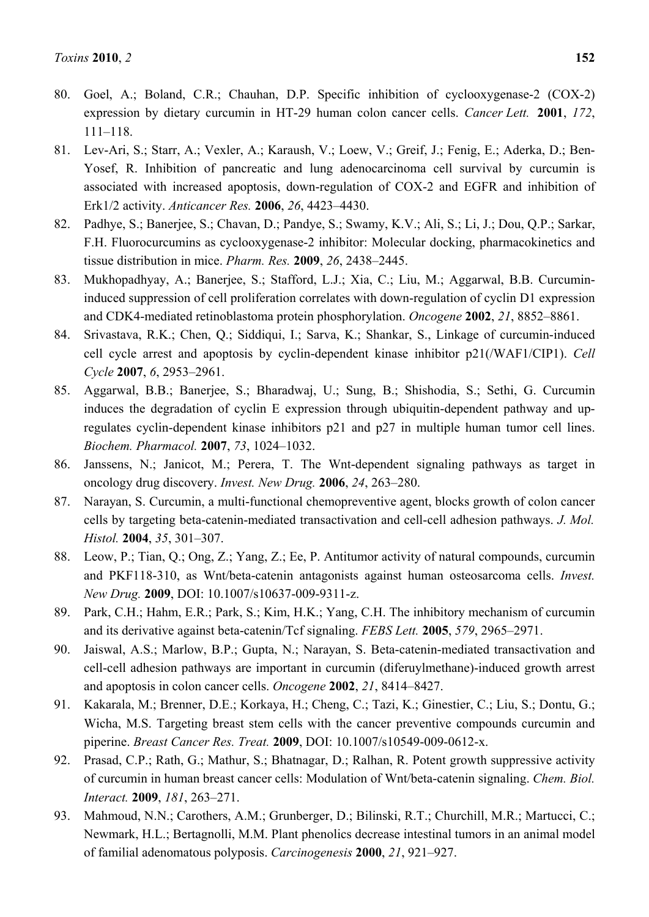- 80. Goel, A.; Boland, C.R.; Chauhan, D.P. Specific inhibition of cyclooxygenase-2 (COX-2) expression by dietary curcumin in HT-29 human colon cancer cells. *Cancer Lett.* **2001**, *172*, 111–118.
- 81. Lev-Ari, S.; Starr, A.; Vexler, A.; Karaush, V.; Loew, V.; Greif, J.; Fenig, E.; Aderka, D.; Ben-Yosef, R. Inhibition of pancreatic and lung adenocarcinoma cell survival by curcumin is associated with increased apoptosis, down-regulation of COX-2 and EGFR and inhibition of Erk1/2 activity. *Anticancer Res.* **2006**, *26*, 4423–4430.
- 82. Padhye, S.; Banerjee, S.; Chavan, D.; Pandye, S.; Swamy, K.V.; Ali, S.; Li, J.; Dou, Q.P.; Sarkar, F.H. Fluorocurcumins as cyclooxygenase-2 inhibitor: Molecular docking, pharmacokinetics and tissue distribution in mice. *Pharm. Res.* **2009**, *26*, 2438–2445.
- 83. Mukhopadhyay, A.; Banerjee, S.; Stafford, L.J.; Xia, C.; Liu, M.; Aggarwal, B.B. Curcumininduced suppression of cell proliferation correlates with down-regulation of cyclin D1 expression and CDK4-mediated retinoblastoma protein phosphorylation. *Oncogene* **2002**, *21*, 8852–8861.
- 84. Srivastava, R.K.; Chen, Q.; Siddiqui, I.; Sarva, K.; Shankar, S., Linkage of curcumin-induced cell cycle arrest and apoptosis by cyclin-dependent kinase inhibitor p21(/WAF1/CIP1). *Cell Cycle* **2007**, *6*, 2953–2961.
- 85. Aggarwal, B.B.; Banerjee, S.; Bharadwaj, U.; Sung, B.; Shishodia, S.; Sethi, G. Curcumin induces the degradation of cyclin E expression through ubiquitin-dependent pathway and upregulates cyclin-dependent kinase inhibitors p21 and p27 in multiple human tumor cell lines. *Biochem. Pharmacol.* **2007**, *73*, 1024–1032.
- 86. Janssens, N.; Janicot, M.; Perera, T. The Wnt-dependent signaling pathways as target in oncology drug discovery. *Invest. New Drug.* **2006**, *24*, 263–280.
- 87. Narayan, S. Curcumin, a multi-functional chemopreventive agent, blocks growth of colon cancer cells by targeting beta-catenin-mediated transactivation and cell-cell adhesion pathways. *J. Mol. Histol.* **2004**, *35*, 301–307.
- 88. Leow, P.; Tian, Q.; Ong, Z.; Yang, Z.; Ee, P. Antitumor activity of natural compounds, curcumin and PKF118-310, as Wnt/beta-catenin antagonists against human osteosarcoma cells. *Invest. New Drug.* **2009**, DOI: 10.1007/s10637-009-9311-z.
- 89. Park, C.H.; Hahm, E.R.; Park, S.; Kim, H.K.; Yang, C.H. The inhibitory mechanism of curcumin and its derivative against beta-catenin/Tcf signaling. *FEBS Lett.* **2005**, *579*, 2965–2971.
- 90. Jaiswal, A.S.; Marlow, B.P.; Gupta, N.; Narayan, S. Beta-catenin-mediated transactivation and cell-cell adhesion pathways are important in curcumin (diferuylmethane)-induced growth arrest and apoptosis in colon cancer cells. *Oncogene* **2002**, *21*, 8414–8427.
- 91. Kakarala, M.; Brenner, D.E.; Korkaya, H.; Cheng, C.; Tazi, K.; Ginestier, C.; Liu, S.; Dontu, G.; Wicha, M.S. Targeting breast stem cells with the cancer preventive compounds curcumin and piperine. *Breast Cancer Res. Treat.* **2009**, DOI: 10.1007/s10549-009-0612-x.
- 92. Prasad, C.P.; Rath, G.; Mathur, S.; Bhatnagar, D.; Ralhan, R. Potent growth suppressive activity of curcumin in human breast cancer cells: Modulation of Wnt/beta-catenin signaling. *Chem. Biol. Interact.* **2009**, *181*, 263–271.
- 93. Mahmoud, N.N.; Carothers, A.M.; Grunberger, D.; Bilinski, R.T.; Churchill, M.R.; Martucci, C.; Newmark, H.L.; Bertagnolli, M.M. Plant phenolics decrease intestinal tumors in an animal model of familial adenomatous polyposis. *Carcinogenesis* **2000**, *21*, 921–927.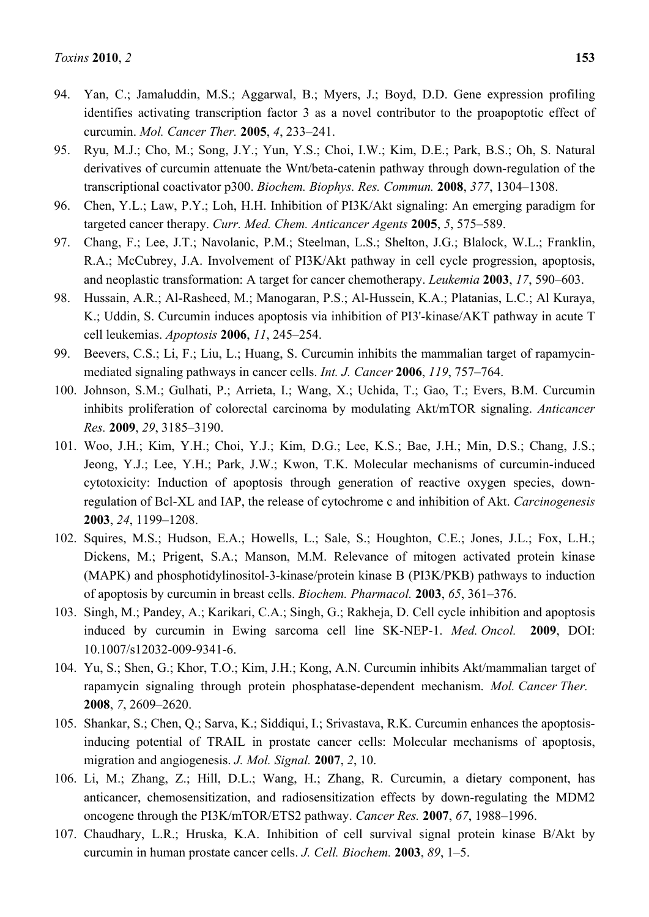- 94. Yan, C.; Jamaluddin, M.S.; Aggarwal, B.; Myers, J.; Boyd, D.D. Gene expression profiling identifies activating transcription factor 3 as a novel contributor to the proapoptotic effect of curcumin. *Mol. Cancer Ther.* **2005**, *4*, 233–241.
- 95. Ryu, M.J.; Cho, M.; Song, J.Y.; Yun, Y.S.; Choi, I.W.; Kim, D.E.; Park, B.S.; Oh, S. Natural derivatives of curcumin attenuate the Wnt/beta-catenin pathway through down-regulation of the transcriptional coactivator p300. *Biochem. Biophys. Res. Commun.* **2008**, *377*, 1304–1308.
- 96. Chen, Y.L.; Law, P.Y.; Loh, H.H. Inhibition of PI3K/Akt signaling: An emerging paradigm for targeted cancer therapy. *Curr. Med. Chem. Anticancer Agents* **2005**, *5*, 575–589.
- 97. Chang, F.; Lee, J.T.; Navolanic, P.M.; Steelman, L.S.; Shelton, J.G.; Blalock, W.L.; Franklin, R.A.; McCubrey, J.A. Involvement of PI3K/Akt pathway in cell cycle progression, apoptosis, and neoplastic transformation: A target for cancer chemotherapy. *Leukemia* **2003**, *17*, 590–603.
- 98. Hussain, A.R.; Al-Rasheed, M.; Manogaran, P.S.; Al-Hussein, K.A.; Platanias, L.C.; Al Kuraya, K.; Uddin, S. Curcumin induces apoptosis via inhibition of PI3'-kinase/AKT pathway in acute T cell leukemias. *Apoptosis* **2006**, *11*, 245–254.
- 99. Beevers, C.S.; Li, F.; Liu, L.; Huang, S. Curcumin inhibits the mammalian target of rapamycinmediated signaling pathways in cancer cells. *Int. J. Cancer* **2006**, *119*, 757–764.
- 100. Johnson, S.M.; Gulhati, P.; Arrieta, I.; Wang, X.; Uchida, T.; Gao, T.; Evers, B.M. Curcumin inhibits proliferation of colorectal carcinoma by modulating Akt/mTOR signaling. *Anticancer Res.* **2009**, *29*, 3185–3190.
- 101. Woo, J.H.; Kim, Y.H.; Choi, Y.J.; Kim, D.G.; Lee, K.S.; Bae, J.H.; Min, D.S.; Chang, J.S.; Jeong, Y.J.; Lee, Y.H.; Park, J.W.; Kwon, T.K. Molecular mechanisms of curcumin-induced cytotoxicity: Induction of apoptosis through generation of reactive oxygen species, downregulation of Bcl-XL and IAP, the release of cytochrome c and inhibition of Akt. *Carcinogenesis*  **2003**, *24*, 1199–1208.
- 102. Squires, M.S.; Hudson, E.A.; Howells, L.; Sale, S.; Houghton, C.E.; Jones, J.L.; Fox, L.H.; Dickens, M.; Prigent, S.A.; Manson, M.M. Relevance of mitogen activated protein kinase (MAPK) and phosphotidylinositol-3-kinase/protein kinase B (PI3K/PKB) pathways to induction of apoptosis by curcumin in breast cells. *Biochem. Pharmacol.* **2003**, *65*, 361–376.
- 103. Singh, M.; Pandey, A.; Karikari, C.A.; Singh, G.; Rakheja, D. Cell cycle inhibition and apoptosis induced by curcumin in Ewing sarcoma cell line SK-NEP-1. *Med. Oncol.* **2009**, DOI: 10.1007/s12032-009-9341-6.
- 104. Yu, S.; Shen, G.; Khor, T.O.; Kim, J.H.; Kong, A.N. Curcumin inhibits Akt/mammalian target of rapamycin signaling through protein phosphatase-dependent mechanism. *Mol. Cancer Ther.*  **2008**, *7*, 2609–2620.
- 105. Shankar, S.; Chen, Q.; Sarva, K.; Siddiqui, I.; Srivastava, R.K. Curcumin enhances the apoptosisinducing potential of TRAIL in prostate cancer cells: Molecular mechanisms of apoptosis, migration and angiogenesis. *J. Mol. Signal.* **2007**, *2*, 10.
- 106. Li, M.; Zhang, Z.; Hill, D.L.; Wang, H.; Zhang, R. Curcumin, a dietary component, has anticancer, chemosensitization, and radiosensitization effects by down-regulating the MDM2 oncogene through the PI3K/mTOR/ETS2 pathway. *Cancer Res.* **2007**, *67*, 1988–1996.
- 107. Chaudhary, L.R.; Hruska, K.A. Inhibition of cell survival signal protein kinase B/Akt by curcumin in human prostate cancer cells. *J. Cell. Biochem.* **2003**, *89*, 1–5.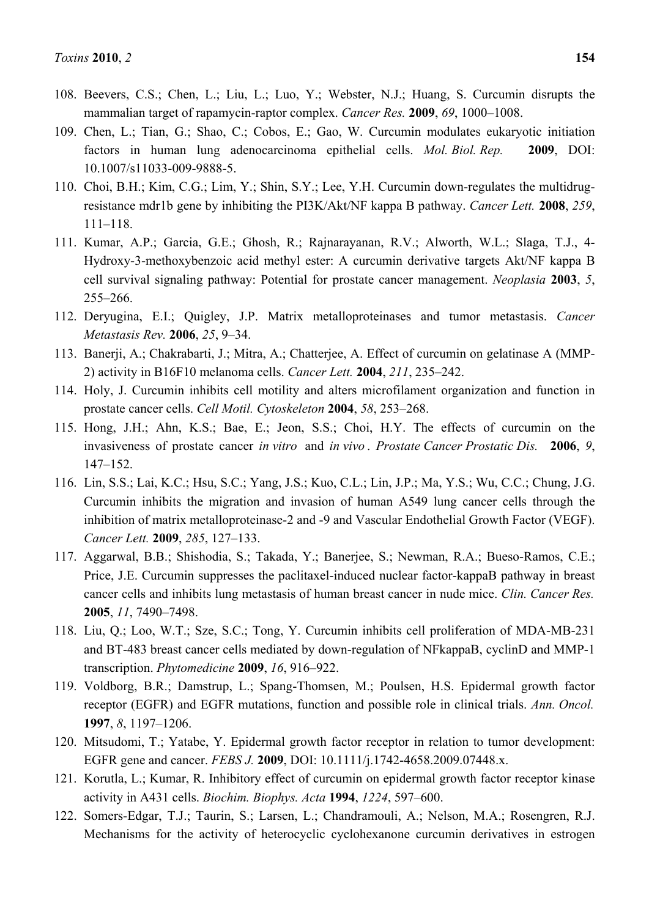- 108. Beevers, C.S.; Chen, L.; Liu, L.; Luo, Y.; Webster, N.J.; Huang, S. Curcumin disrupts the mammalian target of rapamycin-raptor complex. *Cancer Res.* **2009**, *69*, 1000–1008.
- 109. Chen, L.; Tian, G.; Shao, C.; Cobos, E.; Gao, W. Curcumin modulates eukaryotic initiation factors in human lung adenocarcinoma epithelial cells. *Mol. Biol. Rep.* **2009**, DOI: 10.1007/s11033-009-9888-5.
- 110. Choi, B.H.; Kim, C.G.; Lim, Y.; Shin, S.Y.; Lee, Y.H. Curcumin down-regulates the multidrugresistance mdr1b gene by inhibiting the PI3K/Akt/NF kappa B pathway. *Cancer Lett.* **2008**, *259*, 111–118.
- 111. Kumar, A.P.; Garcia, G.E.; Ghosh, R.; Rajnarayanan, R.V.; Alworth, W.L.; Slaga, T.J., 4- Hydroxy-3-methoxybenzoic acid methyl ester: A curcumin derivative targets Akt/NF kappa B cell survival signaling pathway: Potential for prostate cancer management. *Neoplasia* **2003**, *5*, 255–266.
- 112. Deryugina, E.I.; Quigley, J.P. Matrix metalloproteinases and tumor metastasis. *Cancer Metastasis Rev.* **2006**, *25*, 9–34.
- 113. Banerji, A.; Chakrabarti, J.; Mitra, A.; Chatterjee, A. Effect of curcumin on gelatinase A (MMP-2) activity in B16F10 melanoma cells. *Cancer Lett.* **2004**, *211*, 235–242.
- 114. Holy, J. Curcumin inhibits cell motility and alters microfilament organization and function in prostate cancer cells. *Cell Motil. Cytoskeleton* **2004**, *58*, 253–268.
- 115. Hong, J.H.; Ahn, K.S.; Bae, E.; Jeon, S.S.; Choi, H.Y. The effects of curcumin on the invasiveness of prostate cancer *in vitro* and *in vivo* . *Prostate Cancer Prostatic Dis.* **2006**, *9*, 147–152.
- 116. Lin, S.S.; Lai, K.C.; Hsu, S.C.; Yang, J.S.; Kuo, C.L.; Lin, J.P.; Ma, Y.S.; Wu, C.C.; Chung, J.G. Curcumin inhibits the migration and invasion of human A549 lung cancer cells through the inhibition of matrix metalloproteinase-2 and -9 and Vascular Endothelial Growth Factor (VEGF). *Cancer Lett.* **2009**, *285*, 127–133.
- 117. Aggarwal, B.B.; Shishodia, S.; Takada, Y.; Banerjee, S.; Newman, R.A.; Bueso-Ramos, C.E.; Price, J.E. Curcumin suppresses the paclitaxel-induced nuclear factor-kappaB pathway in breast cancer cells and inhibits lung metastasis of human breast cancer in nude mice. *Clin. Cancer Res.*  **2005**, *11*, 7490–7498.
- 118. Liu, Q.; Loo, W.T.; Sze, S.C.; Tong, Y. Curcumin inhibits cell proliferation of MDA-MB-231 and BT-483 breast cancer cells mediated by down-regulation of NFkappaB, cyclinD and MMP-1 transcription. *Phytomedicine* **2009**, *16*, 916–922.
- 119. Voldborg, B.R.; Damstrup, L.; Spang-Thomsen, M.; Poulsen, H.S. Epidermal growth factor receptor (EGFR) and EGFR mutations, function and possible role in clinical trials. *Ann. Oncol.*  **1997**, *8*, 1197–1206.
- 120. Mitsudomi, T.; Yatabe, Y. Epidermal growth factor receptor in relation to tumor development: EGFR gene and cancer. *FEBS J.* **2009**, DOI: 10.1111/j.1742-4658.2009.07448.x.
- 121. Korutla, L.; Kumar, R. Inhibitory effect of curcumin on epidermal growth factor receptor kinase activity in A431 cells. *Biochim. Biophys. Acta* **1994**, *1224*, 597–600.
- 122. Somers-Edgar, T.J.; Taurin, S.; Larsen, L.; Chandramouli, A.; Nelson, M.A.; Rosengren, R.J. Mechanisms for the activity of heterocyclic cyclohexanone curcumin derivatives in estrogen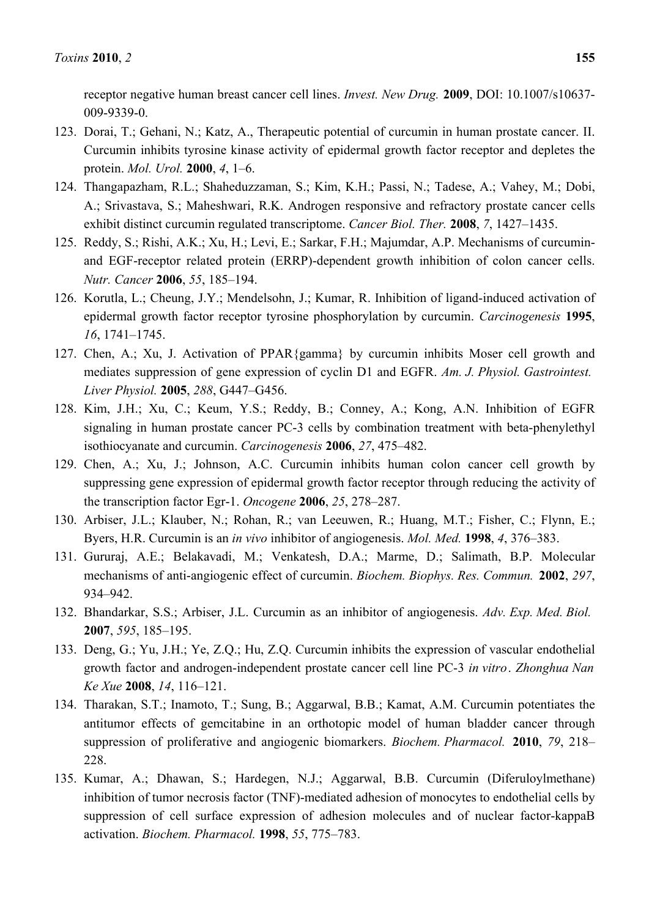receptor negative human breast cancer cell lines. *Invest. New Drug.* **2009**, DOI: 10.1007/s10637- 009-9339-0.

- 123. Dorai, T.; Gehani, N.; Katz, A., Therapeutic potential of curcumin in human prostate cancer. II. Curcumin inhibits tyrosine kinase activity of epidermal growth factor receptor and depletes the protein. *Mol. Urol.* **2000**, *4*, 1–6.
- 124. Thangapazham, R.L.; Shaheduzzaman, S.; Kim, K.H.; Passi, N.; Tadese, A.; Vahey, M.; Dobi, A.; Srivastava, S.; Maheshwari, R.K. Androgen responsive and refractory prostate cancer cells exhibit distinct curcumin regulated transcriptome. *Cancer Biol. Ther.* **2008**, *7*, 1427–1435.
- 125. Reddy, S.; Rishi, A.K.; Xu, H.; Levi, E.; Sarkar, F.H.; Majumdar, A.P. Mechanisms of curcuminand EGF-receptor related protein (ERRP)-dependent growth inhibition of colon cancer cells. *Nutr. Cancer* **2006**, *55*, 185–194.
- 126. Korutla, L.; Cheung, J.Y.; Mendelsohn, J.; Kumar, R. Inhibition of ligand-induced activation of epidermal growth factor receptor tyrosine phosphorylation by curcumin. *Carcinogenesis* **1995**, *16*, 1741–1745.
- 127. Chen, A.; Xu, J. Activation of PPAR{gamma} by curcumin inhibits Moser cell growth and mediates suppression of gene expression of cyclin D1 and EGFR. *Am. J. Physiol. Gastrointest. Liver Physiol.* **2005**, *288*, G447–G456.
- 128. Kim, J.H.; Xu, C.; Keum, Y.S.; Reddy, B.; Conney, A.; Kong, A.N. Inhibition of EGFR signaling in human prostate cancer PC-3 cells by combination treatment with beta-phenylethyl isothiocyanate and curcumin. *Carcinogenesis* **2006**, *27*, 475–482.
- 129. Chen, A.; Xu, J.; Johnson, A.C. Curcumin inhibits human colon cancer cell growth by suppressing gene expression of epidermal growth factor receptor through reducing the activity of the transcription factor Egr-1. *Oncogene* **2006**, *25*, 278–287.
- 130. Arbiser, J.L.; Klauber, N.; Rohan, R.; van Leeuwen, R.; Huang, M.T.; Fisher, C.; Flynn, E.; Byers, H.R. Curcumin is an *in vivo* inhibitor of angiogenesis. *Mol. Med.* **1998**, *4*, 376–383.
- 131. Gururaj, A.E.; Belakavadi, M.; Venkatesh, D.A.; Marme, D.; Salimath, B.P. Molecular mechanisms of anti-angiogenic effect of curcumin. *Biochem. Biophys. Res. Commun.* **2002**, *297*, 934–942.
- 132. Bhandarkar, S.S.; Arbiser, J.L. Curcumin as an inhibitor of angiogenesis. *Adv. Exp. Med. Biol.*  **2007**, *595*, 185–195.
- 133. Deng, G.; Yu, J.H.; Ye, Z.Q.; Hu, Z.Q. Curcumin inhibits the expression of vascular endothelial growth factor and androgen-independent prostate cancer cell line PC-3 *in vitro*. *Zhonghua Nan Ke Xue* **2008**, *14*, 116–121.
- 134. Tharakan, S.T.; Inamoto, T.; Sung, B.; Aggarwal, B.B.; Kamat, A.M. Curcumin potentiates the antitumor effects of gemcitabine in an orthotopic model of human bladder cancer through suppression of proliferative and angiogenic biomarkers. *Biochem. Pharmacol.* **2010**, *79*, 218– 228.
- 135. Kumar, A.; Dhawan, S.; Hardegen, N.J.; Aggarwal, B.B. Curcumin (Diferuloylmethane) inhibition of tumor necrosis factor (TNF)-mediated adhesion of monocytes to endothelial cells by suppression of cell surface expression of adhesion molecules and of nuclear factor-kappaB activation. *Biochem. Pharmacol.* **1998**, *55*, 775–783.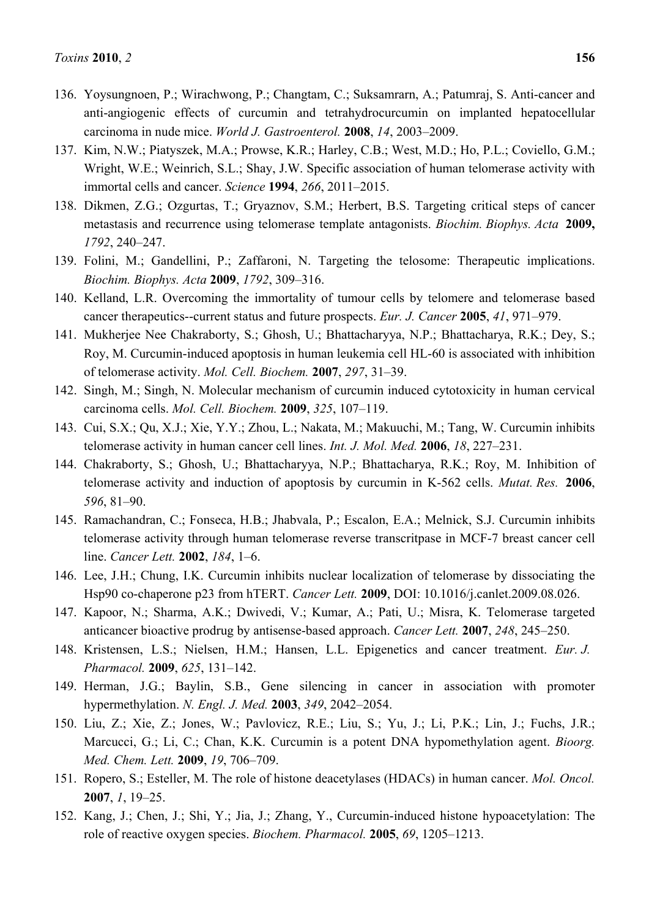- 136. Yoysungnoen, P.; Wirachwong, P.; Changtam, C.; Suksamrarn, A.; Patumraj, S. Anti-cancer and anti-angiogenic effects of curcumin and tetrahydrocurcumin on implanted hepatocellular carcinoma in nude mice. *World J. Gastroenterol.* **2008**, *14*, 2003–2009.
- 137. Kim, N.W.; Piatyszek, M.A.; Prowse, K.R.; Harley, C.B.; West, M.D.; Ho, P.L.; Coviello, G.M.; Wright, W.E.; Weinrich, S.L.; Shay, J.W. Specific association of human telomerase activity with immortal cells and cancer. *Science* **1994**, *266*, 2011–2015.
- 138. Dikmen, Z.G.; Ozgurtas, T.; Gryaznov, S.M.; Herbert, B.S. Targeting critical steps of cancer metastasis and recurrence using telomerase template antagonists. *Biochim. Biophys. Acta* **2009,** *1792*, 240–247.
- 139. Folini, M.; Gandellini, P.; Zaffaroni, N. Targeting the telosome: Therapeutic implications. *Biochim. Biophys. Acta* **2009**, *1792*, 309–316.
- 140. Kelland, L.R. Overcoming the immortality of tumour cells by telomere and telomerase based cancer therapeutics--current status and future prospects. *Eur. J. Cancer* **2005**, *41*, 971–979.
- 141. Mukherjee Nee Chakraborty, S.; Ghosh, U.; Bhattacharyya, N.P.; Bhattacharya, R.K.; Dey, S.; Roy, M. Curcumin-induced apoptosis in human leukemia cell HL-60 is associated with inhibition of telomerase activity. *Mol. Cell. Biochem.* **2007**, *297*, 31–39.
- 142. Singh, M.; Singh, N. Molecular mechanism of curcumin induced cytotoxicity in human cervical carcinoma cells. *Mol. Cell. Biochem.* **2009**, *325*, 107–119.
- 143. Cui, S.X.; Qu, X.J.; Xie, Y.Y.; Zhou, L.; Nakata, M.; Makuuchi, M.; Tang, W. Curcumin inhibits telomerase activity in human cancer cell lines. *Int. J. Mol. Med.* **2006**, *18*, 227–231.
- 144. Chakraborty, S.; Ghosh, U.; Bhattacharyya, N.P.; Bhattacharya, R.K.; Roy, M. Inhibition of telomerase activity and induction of apoptosis by curcumin in K-562 cells. *Mutat. Res.* **2006**, *596*, 81–90.
- 145. Ramachandran, C.; Fonseca, H.B.; Jhabvala, P.; Escalon, E.A.; Melnick, S.J. Curcumin inhibits telomerase activity through human telomerase reverse transcritpase in MCF-7 breast cancer cell line. *Cancer Lett.* **2002**, *184*, 1–6.
- 146. Lee, J.H.; Chung, I.K. Curcumin inhibits nuclear localization of telomerase by dissociating the Hsp90 co-chaperone p23 from hTERT. *Cancer Lett.* **2009**, DOI: 10.1016/j.canlet.2009.08.026.
- 147. Kapoor, N.; Sharma, A.K.; Dwivedi, V.; Kumar, A.; Pati, U.; Misra, K. Telomerase targeted anticancer bioactive prodrug by antisense-based approach. *Cancer Lett.* **2007**, *248*, 245–250.
- 148. Kristensen, L.S.; Nielsen, H.M.; Hansen, L.L. Epigenetics and cancer treatment. *Eur. J. Pharmacol.* **2009**, *625*, 131–142.
- 149. Herman, J.G.; Baylin, S.B., Gene silencing in cancer in association with promoter hypermethylation. *N. Engl. J. Med.* **2003**, *349*, 2042–2054.
- 150. Liu, Z.; Xie, Z.; Jones, W.; Pavlovicz, R.E.; Liu, S.; Yu, J.; Li, P.K.; Lin, J.; Fuchs, J.R.; Marcucci, G.; Li, C.; Chan, K.K. Curcumin is a potent DNA hypomethylation agent. *Bioorg. Med. Chem. Lett.* **2009**, *19*, 706–709.
- 151. Ropero, S.; Esteller, M. The role of histone deacetylases (HDACs) in human cancer. *Mol. Oncol.*  **2007**, *1*, 19–25.
- 152. Kang, J.; Chen, J.; Shi, Y.; Jia, J.; Zhang, Y., Curcumin-induced histone hypoacetylation: The role of reactive oxygen species. *Biochem. Pharmacol.* **2005**, *69*, 1205–1213.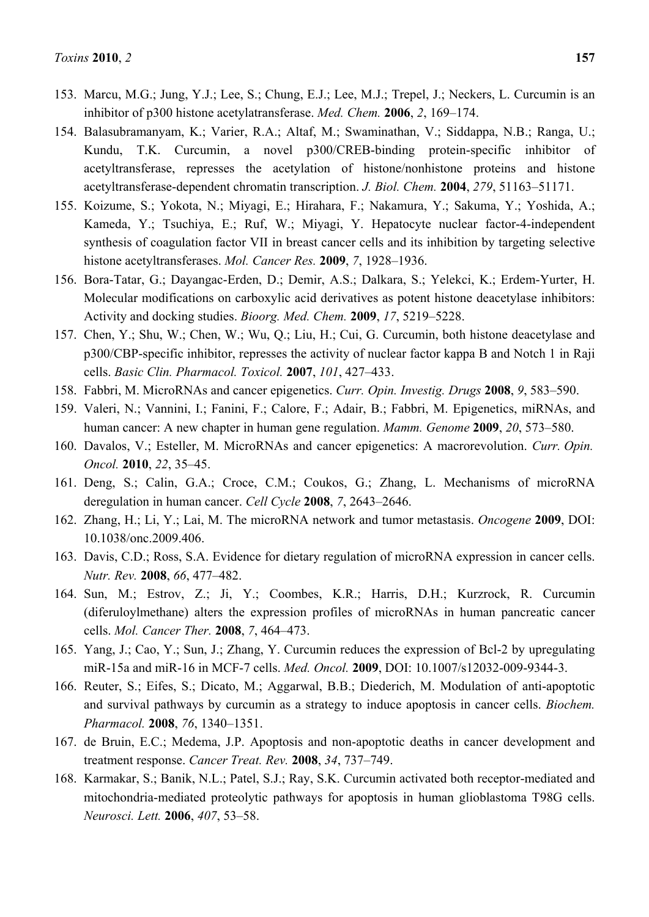- 153. Marcu, M.G.; Jung, Y.J.; Lee, S.; Chung, E.J.; Lee, M.J.; Trepel, J.; Neckers, L. Curcumin is an inhibitor of p300 histone acetylatransferase. *Med. Chem.* **2006**, *2*, 169–174.
- 154. Balasubramanyam, K.; Varier, R.A.; Altaf, M.; Swaminathan, V.; Siddappa, N.B.; Ranga, U.; Kundu, T.K. Curcumin, a novel p300/CREB-binding protein-specific inhibitor of acetyltransferase, represses the acetylation of histone/nonhistone proteins and histone acetyltransferase-dependent chromatin transcription. *J. Biol. Chem.* **2004**, *279*, 51163–51171.
- 155. Koizume, S.; Yokota, N.; Miyagi, E.; Hirahara, F.; Nakamura, Y.; Sakuma, Y.; Yoshida, A.; Kameda, Y.; Tsuchiya, E.; Ruf, W.; Miyagi, Y. Hepatocyte nuclear factor-4-independent synthesis of coagulation factor VII in breast cancer cells and its inhibition by targeting selective histone acetyltransferases. *Mol. Cancer Res.* **2009**, *7*, 1928–1936.
- 156. Bora-Tatar, G.; Dayangac-Erden, D.; Demir, A.S.; Dalkara, S.; Yelekci, K.; Erdem-Yurter, H. Molecular modifications on carboxylic acid derivatives as potent histone deacetylase inhibitors: Activity and docking studies. *Bioorg. Med. Chem.* **2009**, *17*, 5219–5228.
- 157. Chen, Y.; Shu, W.; Chen, W.; Wu, Q.; Liu, H.; Cui, G. Curcumin, both histone deacetylase and p300/CBP-specific inhibitor, represses the activity of nuclear factor kappa B and Notch 1 in Raji cells. *Basic Clin. Pharmacol. Toxicol.* **2007**, *101*, 427–433.
- 158. Fabbri, M. MicroRNAs and cancer epigenetics. *Curr. Opin. Investig. Drugs* **2008**, *9*, 583–590.
- 159. Valeri, N.; Vannini, I.; Fanini, F.; Calore, F.; Adair, B.; Fabbri, M. Epigenetics, miRNAs, and human cancer: A new chapter in human gene regulation. *Mamm. Genome* **2009**, *20*, 573–580.
- 160. Davalos, V.; Esteller, M. MicroRNAs and cancer epigenetics: A macrorevolution. *Curr. Opin. Oncol.* **2010**, *22*, 35–45.
- 161. Deng, S.; Calin, G.A.; Croce, C.M.; Coukos, G.; Zhang, L. Mechanisms of microRNA deregulation in human cancer. *Cell Cycle* **2008**, *7*, 2643–2646.
- 162. Zhang, H.; Li, Y.; Lai, M. The microRNA network and tumor metastasis. *Oncogene* **2009**, DOI: 10.1038/onc.2009.406.
- 163. Davis, C.D.; Ross, S.A. Evidence for dietary regulation of microRNA expression in cancer cells. *Nutr. Rev.* **2008**, *66*, 477–482.
- 164. Sun, M.; Estrov, Z.; Ji, Y.; Coombes, K.R.; Harris, D.H.; Kurzrock, R. Curcumin (diferuloylmethane) alters the expression profiles of microRNAs in human pancreatic cancer cells. *Mol. Cancer Ther.* **2008**, *7*, 464–473.
- 165. Yang, J.; Cao, Y.; Sun, J.; Zhang, Y. Curcumin reduces the expression of Bcl-2 by upregulating miR-15a and miR-16 in MCF-7 cells. *Med. Oncol.* **2009**, DOI: 10.1007/s12032-009-9344-3.
- 166. Reuter, S.; Eifes, S.; Dicato, M.; Aggarwal, B.B.; Diederich, M. Modulation of anti-apoptotic and survival pathways by curcumin as a strategy to induce apoptosis in cancer cells. *Biochem. Pharmacol.* **2008**, *76*, 1340–1351.
- 167. de Bruin, E.C.; Medema, J.P. Apoptosis and non-apoptotic deaths in cancer development and treatment response. *Cancer Treat. Rev.* **2008**, *34*, 737–749.
- 168. Karmakar, S.; Banik, N.L.; Patel, S.J.; Ray, S.K. Curcumin activated both receptor-mediated and mitochondria-mediated proteolytic pathways for apoptosis in human glioblastoma T98G cells. *Neurosci. Lett.* **2006**, *407*, 53–58.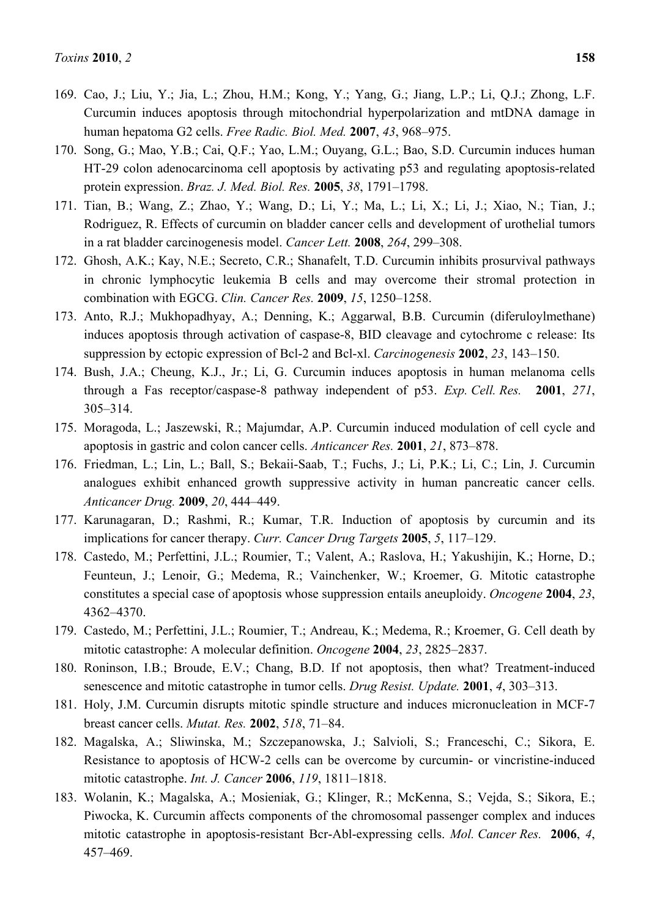- 169. Cao, J.; Liu, Y.; Jia, L.; Zhou, H.M.; Kong, Y.; Yang, G.; Jiang, L.P.; Li, Q.J.; Zhong, L.F. Curcumin induces apoptosis through mitochondrial hyperpolarization and mtDNA damage in human hepatoma G2 cells. *Free Radic. Biol. Med.* **2007**, *43*, 968–975.
- 170. Song, G.; Mao, Y.B.; Cai, Q.F.; Yao, L.M.; Ouyang, G.L.; Bao, S.D. Curcumin induces human HT-29 colon adenocarcinoma cell apoptosis by activating p53 and regulating apoptosis-related protein expression. *Braz. J. Med. Biol. Res.* **2005**, *38*, 1791–1798.
- 171. Tian, B.; Wang, Z.; Zhao, Y.; Wang, D.; Li, Y.; Ma, L.; Li, X.; Li, J.; Xiao, N.; Tian, J.; Rodriguez, R. Effects of curcumin on bladder cancer cells and development of urothelial tumors in a rat bladder carcinogenesis model. *Cancer Lett.* **2008**, *264*, 299–308.
- 172. Ghosh, A.K.; Kay, N.E.; Secreto, C.R.; Shanafelt, T.D. Curcumin inhibits prosurvival pathways in chronic lymphocytic leukemia B cells and may overcome their stromal protection in combination with EGCG. *Clin. Cancer Res.* **2009**, *15*, 1250–1258.
- 173. Anto, R.J.; Mukhopadhyay, A.; Denning, K.; Aggarwal, B.B. Curcumin (diferuloylmethane) induces apoptosis through activation of caspase-8, BID cleavage and cytochrome c release: Its suppression by ectopic expression of Bcl-2 and Bcl-xl. *Carcinogenesis* **2002**, *23*, 143–150.
- 174. Bush, J.A.; Cheung, K.J., Jr.; Li, G. Curcumin induces apoptosis in human melanoma cells through a Fas receptor/caspase-8 pathway independent of p53. *Exp. Cell. Res.* **2001**, *271*, 305–314.
- 175. Moragoda, L.; Jaszewski, R.; Majumdar, A.P. Curcumin induced modulation of cell cycle and apoptosis in gastric and colon cancer cells. *Anticancer Res.* **2001**, *21*, 873–878.
- 176. Friedman, L.; Lin, L.; Ball, S.; Bekaii-Saab, T.; Fuchs, J.; Li, P.K.; Li, C.; Lin, J. Curcumin analogues exhibit enhanced growth suppressive activity in human pancreatic cancer cells. *Anticancer Drug.* **2009**, *20*, 444–449.
- 177. Karunagaran, D.; Rashmi, R.; Kumar, T.R. Induction of apoptosis by curcumin and its implications for cancer therapy. *Curr. Cancer Drug Targets* **2005**, *5*, 117–129.
- 178. Castedo, M.; Perfettini, J.L.; Roumier, T.; Valent, A.; Raslova, H.; Yakushijin, K.; Horne, D.; Feunteun, J.; Lenoir, G.; Medema, R.; Vainchenker, W.; Kroemer, G. Mitotic catastrophe constitutes a special case of apoptosis whose suppression entails aneuploidy. *Oncogene* **2004**, *23*, 4362–4370.
- 179. Castedo, M.; Perfettini, J.L.; Roumier, T.; Andreau, K.; Medema, R.; Kroemer, G. Cell death by mitotic catastrophe: A molecular definition. *Oncogene* **2004**, *23*, 2825–2837.
- 180. Roninson, I.B.; Broude, E.V.; Chang, B.D. If not apoptosis, then what? Treatment-induced senescence and mitotic catastrophe in tumor cells. *Drug Resist. Update.* **2001**, *4*, 303–313.
- 181. Holy, J.M. Curcumin disrupts mitotic spindle structure and induces micronucleation in MCF-7 breast cancer cells. *Mutat. Res.* **2002**, *518*, 71–84.
- 182. Magalska, A.; Sliwinska, M.; Szczepanowska, J.; Salvioli, S.; Franceschi, C.; Sikora, E. Resistance to apoptosis of HCW-2 cells can be overcome by curcumin- or vincristine-induced mitotic catastrophe. *Int. J. Cancer* **2006**, *119*, 1811–1818.
- 183. Wolanin, K.; Magalska, A.; Mosieniak, G.; Klinger, R.; McKenna, S.; Vejda, S.; Sikora, E.; Piwocka, K. Curcumin affects components of the chromosomal passenger complex and induces mitotic catastrophe in apoptosis-resistant Bcr-Abl-expressing cells. *Mol. Cancer Res.* **2006**, *4*, 457–469.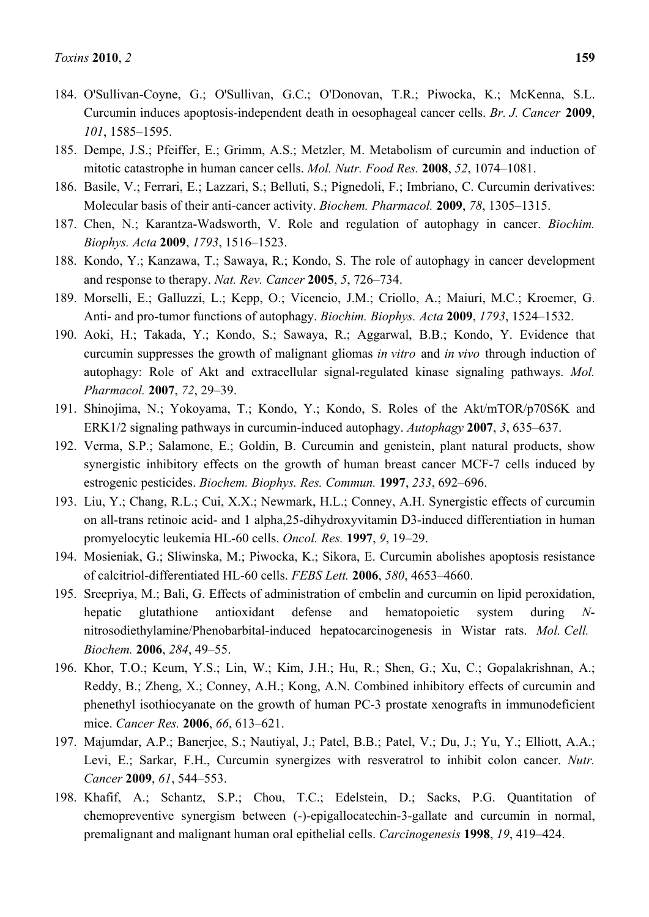- 184. O'Sullivan-Coyne, G.; O'Sullivan, G.C.; O'Donovan, T.R.; Piwocka, K.; McKenna, S.L. Curcumin induces apoptosis-independent death in oesophageal cancer cells. *Br. J. Cancer* **2009**, *101*, 1585–1595.
- 185. Dempe, J.S.; Pfeiffer, E.; Grimm, A.S.; Metzler, M. Metabolism of curcumin and induction of mitotic catastrophe in human cancer cells. *Mol. Nutr. Food Res.* **2008**, *52*, 1074–1081.
- 186. Basile, V.; Ferrari, E.; Lazzari, S.; Belluti, S.; Pignedoli, F.; Imbriano, C. Curcumin derivatives: Molecular basis of their anti-cancer activity. *Biochem. Pharmacol.* **2009**, *78*, 1305–1315.
- 187. Chen, N.; Karantza-Wadsworth, V. Role and regulation of autophagy in cancer. *Biochim. Biophys. Acta* **2009**, *1793*, 1516–1523.
- 188. Kondo, Y.; Kanzawa, T.; Sawaya, R.; Kondo, S. The role of autophagy in cancer development and response to therapy. *Nat. Rev. Cancer* **2005**, *5*, 726–734.
- 189. Morselli, E.; Galluzzi, L.; Kepp, O.; Vicencio, J.M.; Criollo, A.; Maiuri, M.C.; Kroemer, G. Anti- and pro-tumor functions of autophagy. *Biochim. Biophys. Acta* **2009**, *1793*, 1524–1532.
- 190. Aoki, H.; Takada, Y.; Kondo, S.; Sawaya, R.; Aggarwal, B.B.; Kondo, Y. Evidence that curcumin suppresses the growth of malignant gliomas *in vitro* and *in vivo* through induction of autophagy: Role of Akt and extracellular signal-regulated kinase signaling pathways. *Mol. Pharmacol.* **2007**, *72*, 29–39.
- 191. Shinojima, N.; Yokoyama, T.; Kondo, Y.; Kondo, S. Roles of the Akt/mTOR/p70S6K and ERK1/2 signaling pathways in curcumin-induced autophagy. *Autophagy* **2007**, *3*, 635–637.
- 192. Verma, S.P.; Salamone, E.; Goldin, B. Curcumin and genistein, plant natural products, show synergistic inhibitory effects on the growth of human breast cancer MCF-7 cells induced by estrogenic pesticides. *Biochem. Biophys. Res. Commun.* **1997**, *233*, 692–696.
- 193. Liu, Y.; Chang, R.L.; Cui, X.X.; Newmark, H.L.; Conney, A.H. Synergistic effects of curcumin on all-trans retinoic acid- and 1 alpha,25-dihydroxyvitamin D3-induced differentiation in human promyelocytic leukemia HL-60 cells. *Oncol. Res.* **1997**, *9*, 19–29.
- 194. Mosieniak, G.; Sliwinska, M.; Piwocka, K.; Sikora, E. Curcumin abolishes apoptosis resistance of calcitriol-differentiated HL-60 cells. *FEBS Lett.* **2006**, *580*, 4653–4660.
- 195. Sreepriya, M.; Bali, G. Effects of administration of embelin and curcumin on lipid peroxidation, hepatic glutathione antioxidant defense and hematopoietic system during *N*nitrosodiethylamine/Phenobarbital-induced hepatocarcinogenesis in Wistar rats. *Mol. Cell. Biochem.* **2006**, *284*, 49–55.
- 196. Khor, T.O.; Keum, Y.S.; Lin, W.; Kim, J.H.; Hu, R.; Shen, G.; Xu, C.; Gopalakrishnan, A.; Reddy, B.; Zheng, X.; Conney, A.H.; Kong, A.N. Combined inhibitory effects of curcumin and phenethyl isothiocyanate on the growth of human PC-3 prostate xenografts in immunodeficient mice. *Cancer Res.* **2006**, *66*, 613–621.
- 197. Majumdar, A.P.; Banerjee, S.; Nautiyal, J.; Patel, B.B.; Patel, V.; Du, J.; Yu, Y.; Elliott, A.A.; Levi, E.; Sarkar, F.H., Curcumin synergizes with resveratrol to inhibit colon cancer. *Nutr. Cancer* **2009**, *61*, 544–553.
- 198. Khafif, A.; Schantz, S.P.; Chou, T.C.; Edelstein, D.; Sacks, P.G. Quantitation of chemopreventive synergism between (-)-epigallocatechin-3-gallate and curcumin in normal, premalignant and malignant human oral epithelial cells. *Carcinogenesis* **1998**, *19*, 419–424.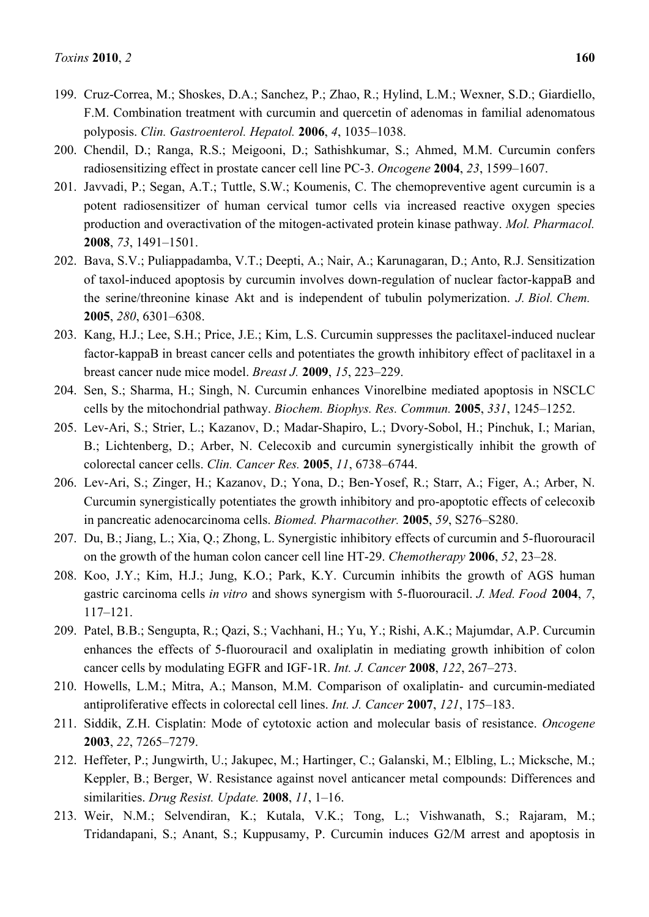- 199. Cruz-Correa, M.; Shoskes, D.A.; Sanchez, P.; Zhao, R.; Hylind, L.M.; Wexner, S.D.; Giardiello, F.M. Combination treatment with curcumin and quercetin of adenomas in familial adenomatous polyposis. *Clin. Gastroenterol. Hepatol.* **2006**, *4*, 1035–1038.
- 200. Chendil, D.; Ranga, R.S.; Meigooni, D.; Sathishkumar, S.; Ahmed, M.M. Curcumin confers radiosensitizing effect in prostate cancer cell line PC-3. *Oncogene* **2004**, *23*, 1599–1607.
- 201. Javvadi, P.; Segan, A.T.; Tuttle, S.W.; Koumenis, C. The chemopreventive agent curcumin is a potent radiosensitizer of human cervical tumor cells via increased reactive oxygen species production and overactivation of the mitogen-activated protein kinase pathway. *Mol. Pharmacol.*  **2008**, *73*, 1491–1501.
- 202. Bava, S.V.; Puliappadamba, V.T.; Deepti, A.; Nair, A.; Karunagaran, D.; Anto, R.J. Sensitization of taxol-induced apoptosis by curcumin involves down-regulation of nuclear factor-kappaB and the serine/threonine kinase Akt and is independent of tubulin polymerization. *J. Biol. Chem.*  **2005**, *280*, 6301–6308.
- 203. Kang, H.J.; Lee, S.H.; Price, J.E.; Kim, L.S. Curcumin suppresses the paclitaxel-induced nuclear factor-kappaB in breast cancer cells and potentiates the growth inhibitory effect of paclitaxel in a breast cancer nude mice model. *Breast J.* **2009**, *15*, 223–229.
- 204. Sen, S.; Sharma, H.; Singh, N. Curcumin enhances Vinorelbine mediated apoptosis in NSCLC cells by the mitochondrial pathway. *Biochem. Biophys. Res. Commun.* **2005**, *331*, 1245–1252.
- 205. Lev-Ari, S.; Strier, L.; Kazanov, D.; Madar-Shapiro, L.; Dvory-Sobol, H.; Pinchuk, I.; Marian, B.; Lichtenberg, D.; Arber, N. Celecoxib and curcumin synergistically inhibit the growth of colorectal cancer cells. *Clin. Cancer Res.* **2005**, *11*, 6738–6744.
- 206. Lev-Ari, S.; Zinger, H.; Kazanov, D.; Yona, D.; Ben-Yosef, R.; Starr, A.; Figer, A.; Arber, N. Curcumin synergistically potentiates the growth inhibitory and pro-apoptotic effects of celecoxib in pancreatic adenocarcinoma cells. *Biomed. Pharmacother.* **2005**, *59*, S276–S280.
- 207. Du, B.; Jiang, L.; Xia, Q.; Zhong, L. Synergistic inhibitory effects of curcumin and 5-fluorouracil on the growth of the human colon cancer cell line HT-29. *Chemotherapy* **2006**, *52*, 23–28.
- 208. Koo, J.Y.; Kim, H.J.; Jung, K.O.; Park, K.Y. Curcumin inhibits the growth of AGS human gastric carcinoma cells *in vitro* and shows synergism with 5-fluorouracil. *J. Med. Food* **2004**, *7*, 117–121.
- 209. Patel, B.B.; Sengupta, R.; Qazi, S.; Vachhani, H.; Yu, Y.; Rishi, A.K.; Majumdar, A.P. Curcumin enhances the effects of 5-fluorouracil and oxaliplatin in mediating growth inhibition of colon cancer cells by modulating EGFR and IGF-1R. *Int. J. Cancer* **2008**, *122*, 267–273.
- 210. Howells, L.M.; Mitra, A.; Manson, M.M. Comparison of oxaliplatin- and curcumin-mediated antiproliferative effects in colorectal cell lines. *Int. J. Cancer* **2007**, *121*, 175–183.
- 211. Siddik, Z.H. Cisplatin: Mode of cytotoxic action and molecular basis of resistance. *Oncogene*  **2003**, *22*, 7265–7279.
- 212. Heffeter, P.; Jungwirth, U.; Jakupec, M.; Hartinger, C.; Galanski, M.; Elbling, L.; Micksche, M.; Keppler, B.; Berger, W. Resistance against novel anticancer metal compounds: Differences and similarities. *Drug Resist. Update.* **2008**, *11*, 1–16.
- 213. Weir, N.M.; Selvendiran, K.; Kutala, V.K.; Tong, L.; Vishwanath, S.; Rajaram, M.; Tridandapani, S.; Anant, S.; Kuppusamy, P. Curcumin induces G2/M arrest and apoptosis in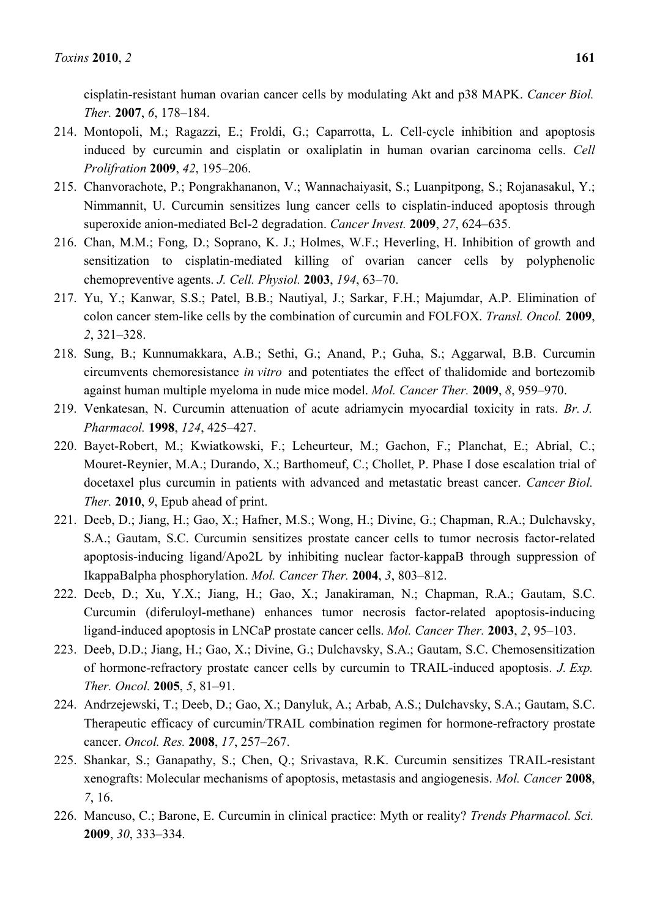cisplatin-resistant human ovarian cancer cells by modulating Akt and p38 MAPK. *Cancer Biol. Ther.* **2007**, *6*, 178–184.

- 214. Montopoli, M.; Ragazzi, E.; Froldi, G.; Caparrotta, L. Cell-cycle inhibition and apoptosis induced by curcumin and cisplatin or oxaliplatin in human ovarian carcinoma cells. *Cell Prolifration* **2009**, *42*, 195–206.
- 215. Chanvorachote, P.; Pongrakhananon, V.; Wannachaiyasit, S.; Luanpitpong, S.; Rojanasakul, Y.; Nimmannit, U. Curcumin sensitizes lung cancer cells to cisplatin-induced apoptosis through superoxide anion-mediated Bcl-2 degradation. *Cancer Invest.* **2009**, *27*, 624–635.
- 216. Chan, M.M.; Fong, D.; Soprano, K. J.; Holmes, W.F.; Heverling, H. Inhibition of growth and sensitization to cisplatin-mediated killing of ovarian cancer cells by polyphenolic chemopreventive agents. *J. Cell. Physiol.* **2003**, *194*, 63–70.
- 217. Yu, Y.; Kanwar, S.S.; Patel, B.B.; Nautiyal, J.; Sarkar, F.H.; Majumdar, A.P. Elimination of colon cancer stem-like cells by the combination of curcumin and FOLFOX. *Transl. Oncol.* **2009**, *2*, 321–328.
- 218. Sung, B.; Kunnumakkara, A.B.; Sethi, G.; Anand, P.; Guha, S.; Aggarwal, B.B. Curcumin circumvents chemoresistance *in vitro* and potentiates the effect of thalidomide and bortezomib against human multiple myeloma in nude mice model. *Mol. Cancer Ther.* **2009**, *8*, 959–970.
- 219. Venkatesan, N. Curcumin attenuation of acute adriamycin myocardial toxicity in rats. *Br. J. Pharmacol.* **1998**, *124*, 425–427.
- 220. Bayet-Robert, M.; Kwiatkowski, F.; Leheurteur, M.; Gachon, F.; Planchat, E.; Abrial, C.; Mouret-Reynier, M.A.; Durando, X.; Barthomeuf, C.; Chollet, P. Phase I dose escalation trial of docetaxel plus curcumin in patients with advanced and metastatic breast cancer. *Cancer Biol. Ther.* **2010**, *9*, Epub ahead of print.
- 221. Deeb, D.; Jiang, H.; Gao, X.; Hafner, M.S.; Wong, H.; Divine, G.; Chapman, R.A.; Dulchavsky, S.A.; Gautam, S.C. Curcumin sensitizes prostate cancer cells to tumor necrosis factor-related apoptosis-inducing ligand/Apo2L by inhibiting nuclear factor-kappaB through suppression of IkappaBalpha phosphorylation. *Mol. Cancer Ther.* **2004**, *3*, 803–812.
- 222. Deeb, D.; Xu, Y.X.; Jiang, H.; Gao, X.; Janakiraman, N.; Chapman, R.A.; Gautam, S.C. Curcumin (diferuloyl-methane) enhances tumor necrosis factor-related apoptosis-inducing ligand-induced apoptosis in LNCaP prostate cancer cells. *Mol. Cancer Ther.* **2003**, *2*, 95–103.
- 223. Deeb, D.D.; Jiang, H.; Gao, X.; Divine, G.; Dulchavsky, S.A.; Gautam, S.C. Chemosensitization of hormone-refractory prostate cancer cells by curcumin to TRAIL-induced apoptosis. *J. Exp. Ther. Oncol.* **2005**, *5*, 81–91.
- 224. Andrzejewski, T.; Deeb, D.; Gao, X.; Danyluk, A.; Arbab, A.S.; Dulchavsky, S.A.; Gautam, S.C. Therapeutic efficacy of curcumin/TRAIL combination regimen for hormone-refractory prostate cancer. *Oncol. Res.* **2008**, *17*, 257–267.
- 225. Shankar, S.; Ganapathy, S.; Chen, Q.; Srivastava, R.K. Curcumin sensitizes TRAIL-resistant xenografts: Molecular mechanisms of apoptosis, metastasis and angiogenesis. *Mol. Cancer* **2008**, *7*, 16.
- 226. Mancuso, C.; Barone, E. Curcumin in clinical practice: Myth or reality? *Trends Pharmacol. Sci.*  **2009**, *30*, 333–334.